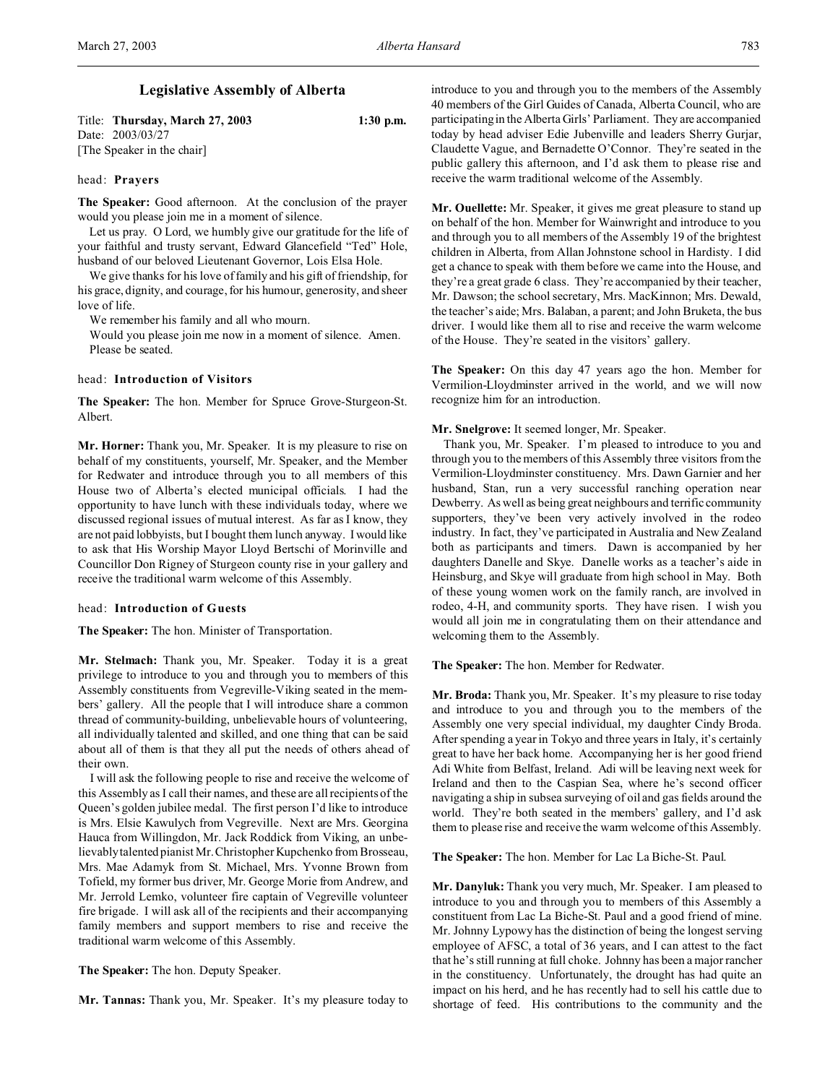# **Legislative Assembly of Alberta**

Title: **Thursday, March 27, 2003 1:30 p.m.** Date: 2003/03/27 [The Speaker in the chair]

### head: **Prayers**

**The Speaker:** Good afternoon. At the conclusion of the prayer would you please join me in a moment of silence.

Let us pray. O Lord, we humbly give our gratitude for the life of your faithful and trusty servant, Edward Glancefield "Ted" Hole, husband of our beloved Lieutenant Governor, Lois Elsa Hole.

We give thanks for his love of family and his gift of friendship, for his grace, dignity, and courage, for his humour, generosity, and sheer love of life.

We remember his family and all who mourn.

Would you please join me now in a moment of silence. Amen. Please be seated.

## head: **Introduction of Visitors**

**The Speaker:** The hon. Member for Spruce Grove-Sturgeon-St. Albert.

**Mr. Horner:** Thank you, Mr. Speaker. It is my pleasure to rise on behalf of my constituents, yourself, Mr. Speaker, and the Member for Redwater and introduce through you to all members of this House two of Alberta's elected municipal officials. I had the opportunity to have lunch with these individuals today, where we discussed regional issues of mutual interest. As far as I know, they are not paid lobbyists, but I bought them lunch anyway. I would like to ask that His Worship Mayor Lloyd Bertschi of Morinville and Councillor Don Rigney of Sturgeon county rise in your gallery and receive the traditional warm welcome of this Assembly.

#### head: **Introduction of Guests**

**The Speaker:** The hon. Minister of Transportation.

**Mr. Stelmach:** Thank you, Mr. Speaker. Today it is a great privilege to introduce to you and through you to members of this Assembly constituents from Vegreville-Viking seated in the members' gallery. All the people that I will introduce share a common thread of community-building, unbelievable hours of volunteering, all individually talented and skilled, and one thing that can be said about all of them is that they all put the needs of others ahead of their own.

I will ask the following people to rise and receive the welcome of this Assembly as I call their names, and these are all recipients of the Queen's golden jubilee medal. The first person I'd like to introduce is Mrs. Elsie Kawulych from Vegreville. Next are Mrs. Georgina Hauca from Willingdon, Mr. Jack Roddick from Viking, an unbelievably talented pianist Mr. Christopher Kupchenko from Brosseau, Mrs. Mae Adamyk from St. Michael, Mrs. Yvonne Brown from Tofield, my former bus driver, Mr. George Morie from Andrew, and Mr. Jerrold Lemko, volunteer fire captain of Vegreville volunteer fire brigade. I will ask all of the recipients and their accompanying family members and support members to rise and receive the traditional warm welcome of this Assembly.

**The Speaker:** The hon. Deputy Speaker.

**Mr. Tannas:** Thank you, Mr. Speaker. It's my pleasure today to

introduce to you and through you to the members of the Assembly 40 members of the Girl Guides of Canada, Alberta Council, who are participating in the Alberta Girls' Parliament. They are accompanied today by head adviser Edie Jubenville and leaders Sherry Gurjar, Claudette Vague, and Bernadette O'Connor. They're seated in the public gallery this afternoon, and I'd ask them to please rise and receive the warm traditional welcome of the Assembly.

**Mr. Ouellette:** Mr. Speaker, it gives me great pleasure to stand up on behalf of the hon. Member for Wainwright and introduce to you and through you to all members of the Assembly 19 of the brightest children in Alberta, from Allan Johnstone school in Hardisty. I did get a chance to speak with them before we came into the House, and they're a great grade 6 class. They're accompanied by their teacher, Mr. Dawson; the school secretary, Mrs. MacKinnon; Mrs. Dewald, the teacher's aide; Mrs. Balaban, a parent; and John Bruketa, the bus driver. I would like them all to rise and receive the warm welcome of the House. They're seated in the visitors' gallery.

**The Speaker:** On this day 47 years ago the hon. Member for Vermilion-Lloydminster arrived in the world, and we will now recognize him for an introduction.

## **Mr. Snelgrove:** It seemed longer, Mr. Speaker.

Thank you, Mr. Speaker. I'm pleased to introduce to you and through you to the members of this Assembly three visitors from the Vermilion-Lloydminster constituency. Mrs. Dawn Garnier and her husband, Stan, run a very successful ranching operation near Dewberry. As well as being great neighbours and terrific community supporters, they've been very actively involved in the rodeo industry. In fact, they've participated in Australia and New Zealand both as participants and timers. Dawn is accompanied by her daughters Danelle and Skye. Danelle works as a teacher's aide in Heinsburg, and Skye will graduate from high school in May. Both of these young women work on the family ranch, are involved in rodeo, 4-H, and community sports. They have risen. I wish you would all join me in congratulating them on their attendance and welcoming them to the Assembly.

**The Speaker:** The hon. Member for Redwater.

**Mr. Broda:** Thank you, Mr. Speaker. It's my pleasure to rise today and introduce to you and through you to the members of the Assembly one very special individual, my daughter Cindy Broda. After spending a year in Tokyo and three years in Italy, it's certainly great to have her back home. Accompanying her is her good friend Adi White from Belfast, Ireland. Adi will be leaving next week for Ireland and then to the Caspian Sea, where he's second officer navigating a ship in subsea surveying of oil and gas fields around the world. They're both seated in the members' gallery, and I'd ask them to please rise and receive the warm welcome of this Assembly.

**The Speaker:** The hon. Member for Lac La Biche-St. Paul.

**Mr. Danyluk:** Thank you very much, Mr. Speaker. I am pleased to introduce to you and through you to members of this Assembly a constituent from Lac La Biche-St. Paul and a good friend of mine. Mr. Johnny Lypowy has the distinction of being the longest serving employee of AFSC, a total of 36 years, and I can attest to the fact that he's still running at full choke. Johnny has been a major rancher in the constituency. Unfortunately, the drought has had quite an impact on his herd, and he has recently had to sell his cattle due to shortage of feed. His contributions to the community and the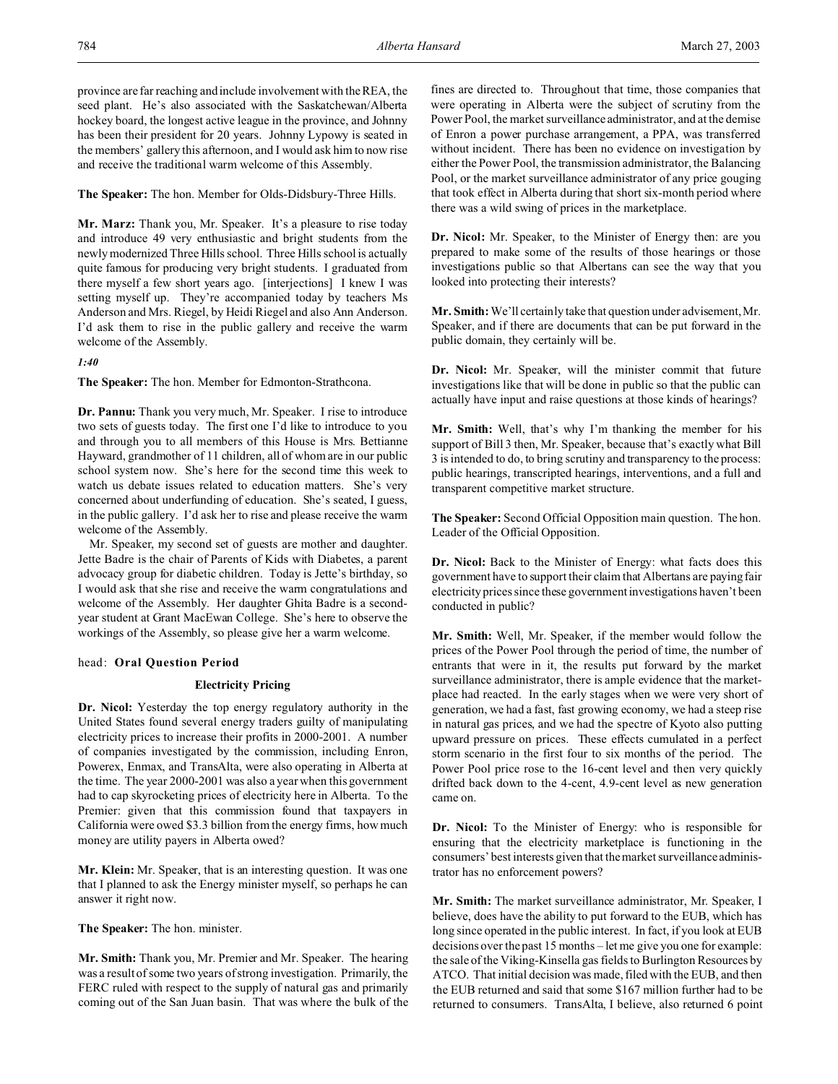province are far reaching and include involvement with the REA, the seed plant. He's also associated with the Saskatchewan/Alberta hockey board, the longest active league in the province, and Johnny has been their president for 20 years. Johnny Lypowy is seated in the members' gallery this afternoon, and I would ask him to now rise and receive the traditional warm welcome of this Assembly.

**The Speaker:** The hon. Member for Olds-Didsbury-Three Hills.

**Mr. Marz:** Thank you, Mr. Speaker. It's a pleasure to rise today and introduce 49 very enthusiastic and bright students from the newly modernized Three Hills school. Three Hills school is actually quite famous for producing very bright students. I graduated from there myself a few short years ago. [interjections] I knew I was setting myself up. They're accompanied today by teachers Ms Anderson and Mrs. Riegel, by Heidi Riegel and also Ann Anderson. I'd ask them to rise in the public gallery and receive the warm welcome of the Assembly.

# *1:40*

**The Speaker:** The hon. Member for Edmonton-Strathcona.

**Dr. Pannu:** Thank you very much, Mr. Speaker. I rise to introduce two sets of guests today. The first one I'd like to introduce to you and through you to all members of this House is Mrs. Bettianne Hayward, grandmother of 11 children, all of whom are in our public school system now. She's here for the second time this week to watch us debate issues related to education matters. She's very concerned about underfunding of education. She's seated, I guess, in the public gallery. I'd ask her to rise and please receive the warm welcome of the Assembly.

Mr. Speaker, my second set of guests are mother and daughter. Jette Badre is the chair of Parents of Kids with Diabetes, a parent advocacy group for diabetic children. Today is Jette's birthday, so I would ask that she rise and receive the warm congratulations and welcome of the Assembly. Her daughter Ghita Badre is a secondyear student at Grant MacEwan College. She's here to observe the workings of the Assembly, so please give her a warm welcome.

# head: **Oral Question Period**

## **Electricity Pricing**

**Dr. Nicol:** Yesterday the top energy regulatory authority in the United States found several energy traders guilty of manipulating electricity prices to increase their profits in 2000-2001. A number of companies investigated by the commission, including Enron, Powerex, Enmax, and TransAlta, were also operating in Alberta at the time. The year 2000-2001 was also a year when this government had to cap skyrocketing prices of electricity here in Alberta. To the Premier: given that this commission found that taxpayers in California were owed \$3.3 billion from the energy firms, how much money are utility payers in Alberta owed?

**Mr. Klein:** Mr. Speaker, that is an interesting question. It was one that I planned to ask the Energy minister myself, so perhaps he can answer it right now.

**The Speaker:** The hon. minister.

**Mr. Smith:** Thank you, Mr. Premier and Mr. Speaker. The hearing was a result of some two years of strong investigation. Primarily, the FERC ruled with respect to the supply of natural gas and primarily coming out of the San Juan basin. That was where the bulk of the fines are directed to. Throughout that time, those companies that were operating in Alberta were the subject of scrutiny from the Power Pool, the market surveillance administrator, and at the demise of Enron a power purchase arrangement, a PPA, was transferred without incident. There has been no evidence on investigation by either the Power Pool, the transmission administrator, the Balancing Pool, or the market surveillance administrator of any price gouging that took effect in Alberta during that short six-month period where there was a wild swing of prices in the marketplace.

**Dr. Nicol:** Mr. Speaker, to the Minister of Energy then: are you prepared to make some of the results of those hearings or those investigations public so that Albertans can see the way that you looked into protecting their interests?

**Mr. Smith:** We'll certainly take that question under advisement, Mr. Speaker, and if there are documents that can be put forward in the public domain, they certainly will be.

**Dr. Nicol:** Mr. Speaker, will the minister commit that future investigations like that will be done in public so that the public can actually have input and raise questions at those kinds of hearings?

**Mr. Smith:** Well, that's why I'm thanking the member for his support of Bill 3 then, Mr. Speaker, because that's exactly what Bill 3 is intended to do, to bring scrutiny and transparency to the process: public hearings, transcripted hearings, interventions, and a full and transparent competitive market structure.

**The Speaker:** Second Official Opposition main question. The hon. Leader of the Official Opposition.

**Dr. Nicol:** Back to the Minister of Energy: what facts does this government have to support their claim that Albertans are paying fair electricity prices since these government investigations haven't been conducted in public?

**Mr. Smith:** Well, Mr. Speaker, if the member would follow the prices of the Power Pool through the period of time, the number of entrants that were in it, the results put forward by the market surveillance administrator, there is ample evidence that the marketplace had reacted. In the early stages when we were very short of generation, we had a fast, fast growing economy, we had a steep rise in natural gas prices, and we had the spectre of Kyoto also putting upward pressure on prices. These effects cumulated in a perfect storm scenario in the first four to six months of the period. The Power Pool price rose to the 16-cent level and then very quickly drifted back down to the 4-cent, 4.9-cent level as new generation came on.

**Dr. Nicol:** To the Minister of Energy: who is responsible for ensuring that the electricity marketplace is functioning in the consumers' best interests given that the market surveillance administrator has no enforcement powers?

**Mr. Smith:** The market surveillance administrator, Mr. Speaker, I believe, does have the ability to put forward to the EUB, which has long since operated in the public interest. In fact, if you look at EUB decisions over the past 15 months – let me give you one for example: the sale of the Viking-Kinsella gas fields to Burlington Resources by ATCO. That initial decision was made, filed with the EUB, and then the EUB returned and said that some \$167 million further had to be returned to consumers. TransAlta, I believe, also returned 6 point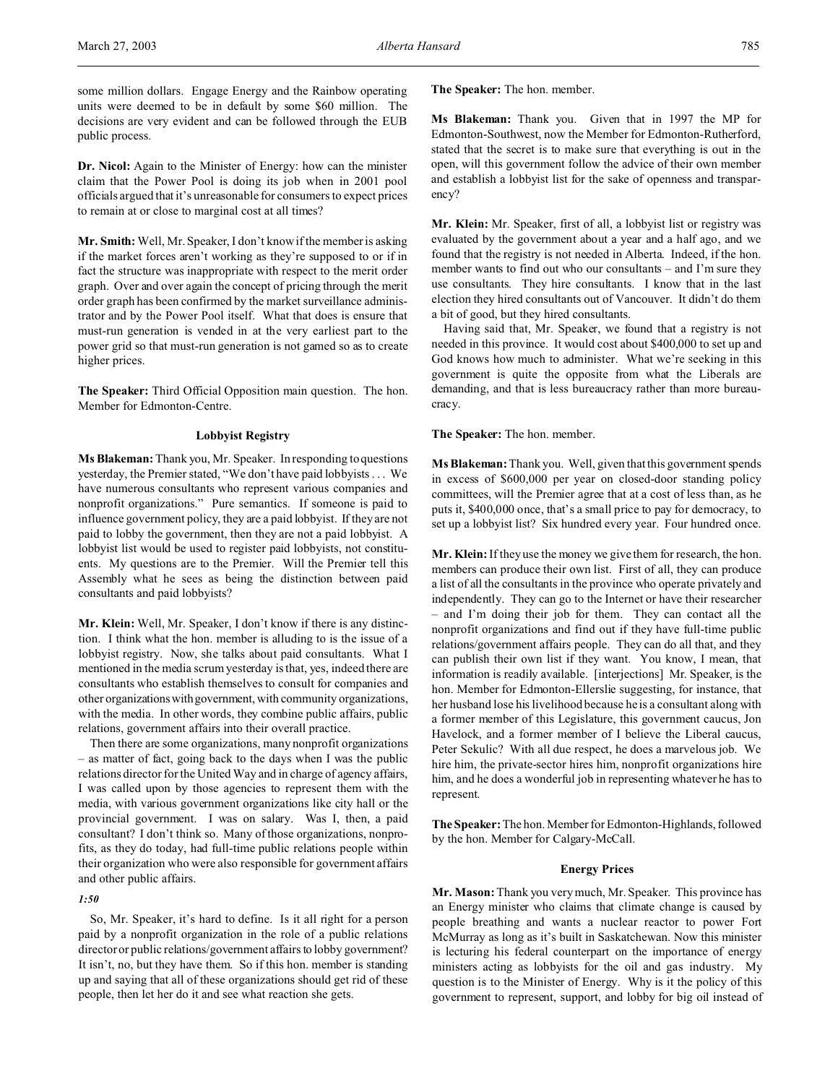some million dollars. Engage Energy and the Rainbow operating units were deemed to be in default by some \$60 million. The decisions are very evident and can be followed through the EUB public process.

**Dr. Nicol:** Again to the Minister of Energy: how can the minister claim that the Power Pool is doing its job when in 2001 pool officials argued that it's unreasonable for consumers to expect prices to remain at or close to marginal cost at all times?

**Mr. Smith:** Well, Mr. Speaker, I don't know if the member is asking if the market forces aren't working as they're supposed to or if in fact the structure was inappropriate with respect to the merit order graph. Over and over again the concept of pricing through the merit order graph has been confirmed by the market surveillance administrator and by the Power Pool itself. What that does is ensure that must-run generation is vended in at the very earliest part to the power grid so that must-run generation is not gamed so as to create higher prices.

**The Speaker:** Third Official Opposition main question. The hon. Member for Edmonton-Centre.

## **Lobbyist Registry**

**Ms Blakeman:** Thank you, Mr. Speaker. In responding to questions yesterday, the Premier stated, "We don't have paid lobbyists . . . We have numerous consultants who represent various companies and nonprofit organizations." Pure semantics. If someone is paid to influence government policy, they are a paid lobbyist. If they are not paid to lobby the government, then they are not a paid lobbyist. A lobbyist list would be used to register paid lobbyists, not constituents. My questions are to the Premier. Will the Premier tell this Assembly what he sees as being the distinction between paid consultants and paid lobbyists?

**Mr. Klein:** Well, Mr. Speaker, I don't know if there is any distinction. I think what the hon. member is alluding to is the issue of a lobbyist registry. Now, she talks about paid consultants. What I mentioned in the media scrum yesterday is that, yes, indeed there are consultants who establish themselves to consult for companies and other organizationswithgovernment, with community organizations, with the media. In other words, they combine public affairs, public relations, government affairs into their overall practice.

Then there are some organizations, many nonprofit organizations – as matter of fact, going back to the days when I was the public relations director for the United Way and in charge of agency affairs, I was called upon by those agencies to represent them with the media, with various government organizations like city hall or the provincial government. I was on salary. Was I, then, a paid consultant? I don't think so. Many of those organizations, nonprofits, as they do today, had full-time public relations people within their organization who were also responsible for government affairs and other public affairs.

## *1:50*

So, Mr. Speaker, it's hard to define. Is it all right for a person paid by a nonprofit organization in the role of a public relations director or public relations/government affairs to lobby government? It isn't, no, but they have them. So if this hon. member is standing up and saying that all of these organizations should get rid of these people, then let her do it and see what reaction she gets.

**The Speaker:** The hon. member.

**Ms Blakeman:** Thank you. Given that in 1997 the MP for Edmonton-Southwest, now the Member for Edmonton-Rutherford, stated that the secret is to make sure that everything is out in the open, will this government follow the advice of their own member and establish a lobbyist list for the sake of openness and transparency?

**Mr. Klein:** Mr. Speaker, first of all, a lobbyist list or registry was evaluated by the government about a year and a half ago, and we found that the registry is not needed in Alberta. Indeed, if the hon. member wants to find out who our consultants – and I'm sure they use consultants. They hire consultants. I know that in the last election they hired consultants out of Vancouver. It didn't do them a bit of good, but they hired consultants.

Having said that, Mr. Speaker, we found that a registry is not needed in this province. It would cost about \$400,000 to set up and God knows how much to administer. What we're seeking in this government is quite the opposite from what the Liberals are demanding, and that is less bureaucracy rather than more bureaucracy.

**The Speaker:** The hon. member.

**Ms Blakeman:** Thank you. Well, given that this government spends in excess of \$600,000 per year on closed-door standing policy committees, will the Premier agree that at a cost of less than, as he puts it, \$400,000 once, that's a small price to pay for democracy, to set up a lobbyist list? Six hundred every year. Four hundred once.

**Mr. Klein:** If they use the money we give them for research, the hon. members can produce their own list. First of all, they can produce a list of all the consultants in the province who operate privately and independently. They can go to the Internet or have their researcher – and I'm doing their job for them. They can contact all the nonprofit organizations and find out if they have full-time public relations/government affairs people. They can do all that, and they can publish their own list if they want. You know, I mean, that information is readily available. [interjections] Mr. Speaker, is the hon. Member for Edmonton-Ellerslie suggesting, for instance, that her husband lose his livelihood because he is a consultant along with a former member of this Legislature, this government caucus, Jon Havelock, and a former member of I believe the Liberal caucus, Peter Sekulic? With all due respect, he does a marvelous job. We hire him, the private-sector hires him, nonprofit organizations hire him, and he does a wonderful job in representing whatever he has to represent.

**The Speaker:** The hon. Member for Edmonton-Highlands, followed by the hon. Member for Calgary-McCall.

## **Energy Prices**

**Mr. Mason:** Thank you very much, Mr. Speaker. This province has an Energy minister who claims that climate change is caused by people breathing and wants a nuclear reactor to power Fort McMurray as long as it's built in Saskatchewan. Now this minister is lecturing his federal counterpart on the importance of energy ministers acting as lobbyists for the oil and gas industry. My question is to the Minister of Energy. Why is it the policy of this government to represent, support, and lobby for big oil instead of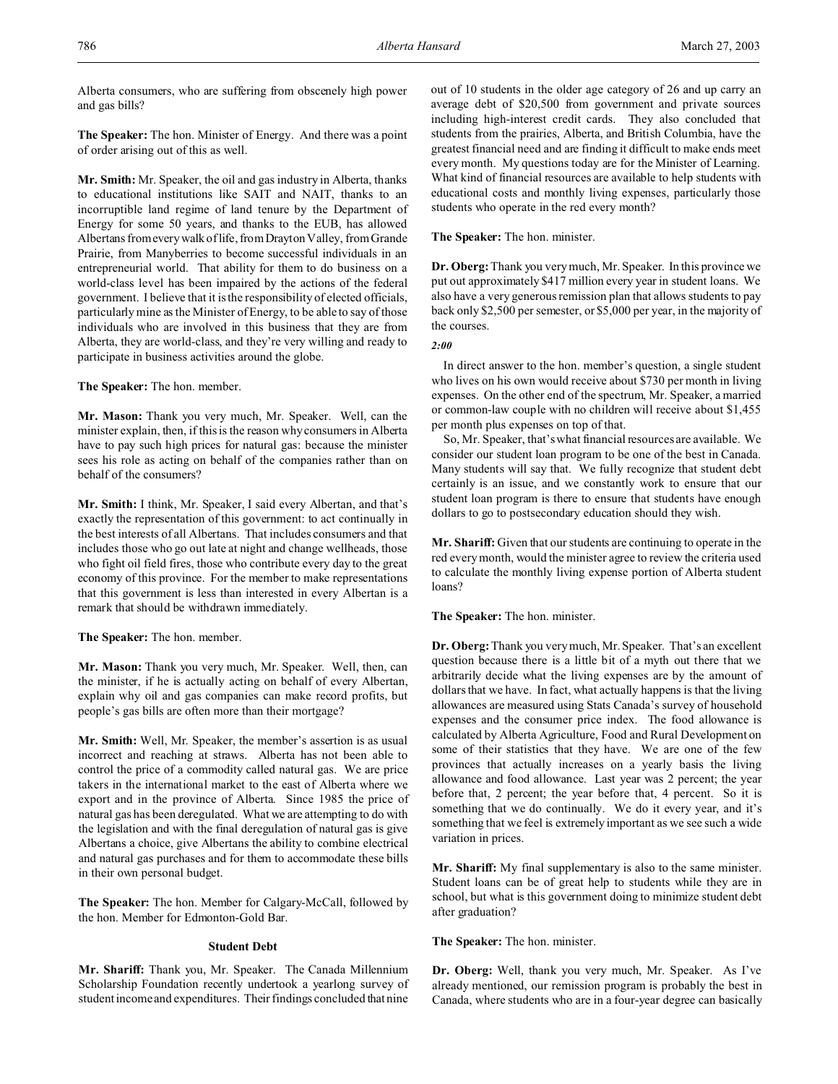Alberta consumers, who are suffering from obscenely high power and gas bills?

**The Speaker:** The hon. Minister of Energy. And there was a point of order arising out of this as well.

**Mr. Smith:** Mr. Speaker, the oil and gas industry in Alberta, thanks to educational institutions like SAIT and NAIT, thanks to an incorruptible land regime of land tenure by the Department of Energy for some 50 years, and thanks to the EUB, has allowed Albertans from every walk of life, from Drayton Valley, from Grande Prairie, from Manyberries to become successful individuals in an entrepreneurial world. That ability for them to do business on a world-class level has been impaired by the actions of the federal government. I believe that it is the responsibility of elected officials, particularly mine as the Minister of Energy, to be able to say of those individuals who are involved in this business that they are from Alberta, they are world-class, and they're very willing and ready to participate in business activities around the globe.

**The Speaker:** The hon. member.

**Mr. Mason:** Thank you very much, Mr. Speaker. Well, can the minister explain, then, if this is the reason why consumers in Alberta have to pay such high prices for natural gas: because the minister sees his role as acting on behalf of the companies rather than on behalf of the consumers?

**Mr. Smith:** I think, Mr. Speaker, I said every Albertan, and that's exactly the representation of this government: to act continually in the best interests of all Albertans. That includes consumers and that includes those who go out late at night and change wellheads, those who fight oil field fires, those who contribute every day to the great economy of this province. For the member to make representations that this government is less than interested in every Albertan is a remark that should be withdrawn immediately.

**The Speaker:** The hon. member.

**Mr. Mason:** Thank you very much, Mr. Speaker. Well, then, can the minister, if he is actually acting on behalf of every Albertan, explain why oil and gas companies can make record profits, but people's gas bills are often more than their mortgage?

**Mr. Smith:** Well, Mr. Speaker, the member's assertion is as usual incorrect and reaching at straws. Alberta has not been able to control the price of a commodity called natural gas. We are price takers in the international market to the east of Alberta where we export and in the province of Alberta. Since 1985 the price of natural gas has been deregulated. What we are attempting to do with the legislation and with the final deregulation of natural gas is give Albertans a choice, give Albertans the ability to combine electrical and natural gas purchases and for them to accommodate these bills in their own personal budget.

**The Speaker:** The hon. Member for Calgary-McCall, followed by the hon. Member for Edmonton-Gold Bar.

# **Student Debt**

**Mr. Shariff:** Thank you, Mr. Speaker. The Canada Millennium Scholarship Foundation recently undertook a yearlong survey of student income and expenditures. Their findings concluded that nine out of 10 students in the older age category of 26 and up carry an average debt of \$20,500 from government and private sources including high-interest credit cards. They also concluded that students from the prairies, Alberta, and British Columbia, have the greatest financial need and are finding it difficult to make ends meet every month. My questions today are for the Minister of Learning. What kind of financial resources are available to help students with educational costs and monthly living expenses, particularly those students who operate in the red every month?

**The Speaker:** The hon. minister.

**Dr. Oberg:**Thank you very much, Mr. Speaker. In this province we put out approximately \$417 million every year in student loans. We also have a very generous remission plan that allows students to pay back only \$2,500 per semester, or \$5,000 per year, in the majority of the courses.

*2:00*

In direct answer to the hon. member's question, a single student who lives on his own would receive about \$730 per month in living expenses. On the other end of the spectrum, Mr. Speaker, a married or common-law couple with no children will receive about \$1,455 per month plus expenses on top of that.

So, Mr. Speaker, that's what financial resources are available. We consider our student loan program to be one of the best in Canada. Many students will say that. We fully recognize that student debt certainly is an issue, and we constantly work to ensure that our student loan program is there to ensure that students have enough dollars to go to postsecondary education should they wish.

**Mr. Shariff:** Given that our students are continuing to operate in the red every month, would the minister agree to review the criteria used to calculate the monthly living expense portion of Alberta student loans?

**The Speaker:** The hon. minister.

**Dr. Oberg:**Thank you very much, Mr. Speaker. That's an excellent question because there is a little bit of a myth out there that we arbitrarily decide what the living expenses are by the amount of dollars that we have. In fact, what actually happens is that the living allowances are measured using Stats Canada's survey of household expenses and the consumer price index. The food allowance is calculated by Alberta Agriculture, Food and Rural Development on some of their statistics that they have. We are one of the few provinces that actually increases on a yearly basis the living allowance and food allowance. Last year was 2 percent; the year before that, 2 percent; the year before that, 4 percent. So it is something that we do continually. We do it every year, and it's something that we feel is extremely important as we see such a wide variation in prices.

**Mr. Shariff:** My final supplementary is also to the same minister. Student loans can be of great help to students while they are in school, but what is this government doing to minimize student debt after graduation?

**The Speaker:** The hon. minister.

**Dr. Oberg:** Well, thank you very much, Mr. Speaker. As I've already mentioned, our remission program is probably the best in Canada, where students who are in a four-year degree can basically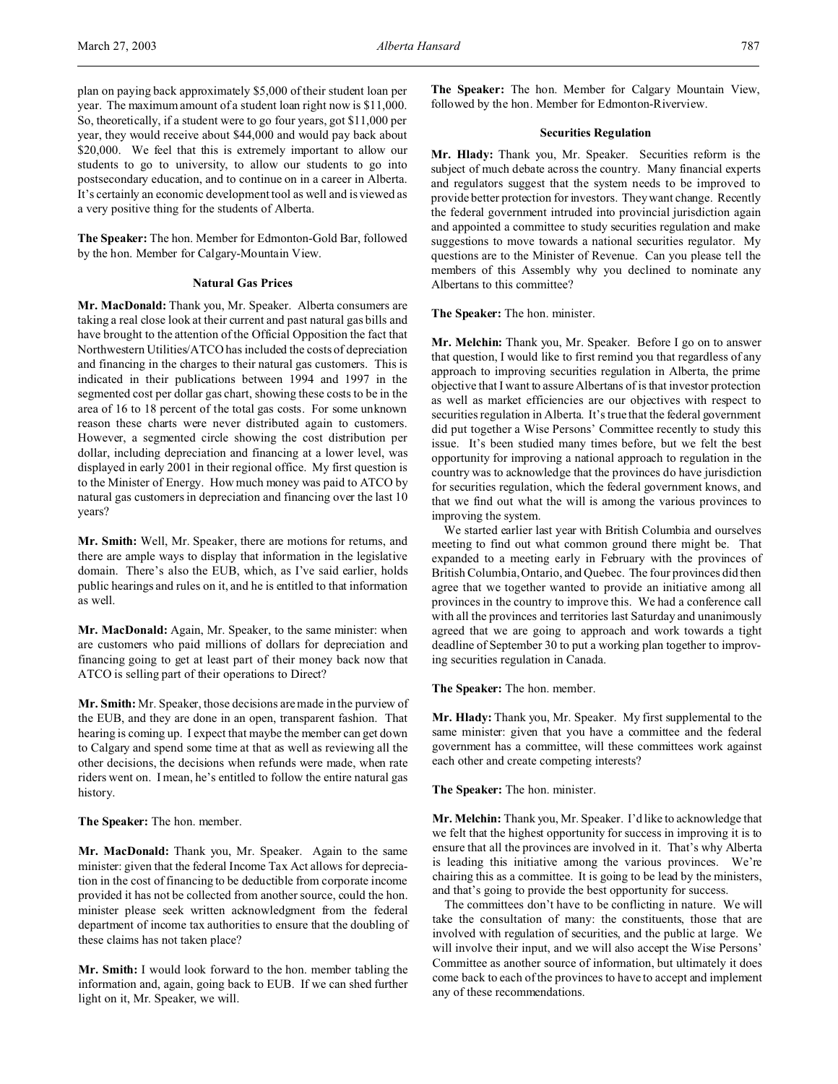plan on paying back approximately \$5,000 of their student loan per year. The maximum amount of a student loan right now is \$11,000. So, theoretically, if a student were to go four years, got \$11,000 per year, they would receive about \$44,000 and would pay back about \$20,000. We feel that this is extremely important to allow our students to go to university, to allow our students to go into postsecondary education, and to continue on in a career in Alberta. It's certainly an economic development tool as well and is viewed as a very positive thing for the students of Alberta.

**The Speaker:** The hon. Member for Edmonton-Gold Bar, followed by the hon. Member for Calgary-Mountain View.

## **Natural Gas Prices**

**Mr. MacDonald:** Thank you, Mr. Speaker. Alberta consumers are taking a real close look at their current and past natural gas bills and have brought to the attention of the Official Opposition the fact that Northwestern Utilities/ATCO has included the costs of depreciation and financing in the charges to their natural gas customers. This is indicated in their publications between 1994 and 1997 in the segmented cost per dollar gas chart, showing these costs to be in the area of 16 to 18 percent of the total gas costs. For some unknown reason these charts were never distributed again to customers. However, a segmented circle showing the cost distribution per dollar, including depreciation and financing at a lower level, was displayed in early 2001 in their regional office. My first question is to the Minister of Energy. How much money was paid to ATCO by natural gas customers in depreciation and financing over the last 10 years?

**Mr. Smith:** Well, Mr. Speaker, there are motions for returns, and there are ample ways to display that information in the legislative domain. There's also the EUB, which, as I've said earlier, holds public hearings and rules on it, and he is entitled to that information as well.

**Mr. MacDonald:** Again, Mr. Speaker, to the same minister: when are customers who paid millions of dollars for depreciation and financing going to get at least part of their money back now that ATCO is selling part of their operations to Direct?

**Mr. Smith:** Mr. Speaker, those decisions are made in the purview of the EUB, and they are done in an open, transparent fashion. That hearing is coming up. I expect that maybe the member can get down to Calgary and spend some time at that as well as reviewing all the other decisions, the decisions when refunds were made, when rate riders went on. I mean, he's entitled to follow the entire natural gas history.

**The Speaker:** The hon. member.

**Mr. MacDonald:** Thank you, Mr. Speaker. Again to the same minister: given that the federal Income Tax Act allows for depreciation in the cost of financing to be deductible from corporate income provided it has not be collected from another source, could the hon. minister please seek written acknowledgment from the federal department of income tax authorities to ensure that the doubling of these claims has not taken place?

**Mr. Smith:** I would look forward to the hon. member tabling the information and, again, going back to EUB. If we can shed further light on it, Mr. Speaker, we will.

**The Speaker:** The hon. Member for Calgary Mountain View, followed by the hon. Member for Edmonton-Riverview.

## **Securities Regulation**

**Mr. Hlady:** Thank you, Mr. Speaker. Securities reform is the subject of much debate across the country. Many financial experts and regulators suggest that the system needs to be improved to provide better protection for investors. They want change. Recently the federal government intruded into provincial jurisdiction again and appointed a committee to study securities regulation and make suggestions to move towards a national securities regulator. My questions are to the Minister of Revenue. Can you please tell the members of this Assembly why you declined to nominate any Albertans to this committee?

**The Speaker:** The hon. minister.

**Mr. Melchin:** Thank you, Mr. Speaker. Before I go on to answer that question, I would like to first remind you that regardless of any approach to improving securities regulation in Alberta, the prime objective that I want to assure Albertans of is that investor protection as well as market efficiencies are our objectives with respect to securities regulation in Alberta. It's true that the federal government did put together a Wise Persons' Committee recently to study this issue. It's been studied many times before, but we felt the best opportunity for improving a national approach to regulation in the country was to acknowledge that the provinces do have jurisdiction for securities regulation, which the federal government knows, and that we find out what the will is among the various provinces to improving the system.

We started earlier last year with British Columbia and ourselves meeting to find out what common ground there might be. That expanded to a meeting early in February with the provinces of British Columbia, Ontario, and Quebec. The four provinces did then agree that we together wanted to provide an initiative among all provinces in the country to improve this. We had a conference call with all the provinces and territories last Saturday and unanimously agreed that we are going to approach and work towards a tight deadline of September 30 to put a working plan together to improving securities regulation in Canada.

**The Speaker:** The hon. member.

**Mr. Hlady:** Thank you, Mr. Speaker. My first supplemental to the same minister: given that you have a committee and the federal government has a committee, will these committees work against each other and create competing interests?

**The Speaker:** The hon. minister.

**Mr. Melchin:** Thank you, Mr. Speaker. I'd like to acknowledge that we felt that the highest opportunity for success in improving it is to ensure that all the provinces are involved in it. That's why Alberta is leading this initiative among the various provinces. We're chairing this as a committee. It is going to be lead by the ministers, and that's going to provide the best opportunity for success.

The committees don't have to be conflicting in nature. We will take the consultation of many: the constituents, those that are involved with regulation of securities, and the public at large. We will involve their input, and we will also accept the Wise Persons' Committee as another source of information, but ultimately it does come back to each of the provinces to have to accept and implement any of these recommendations.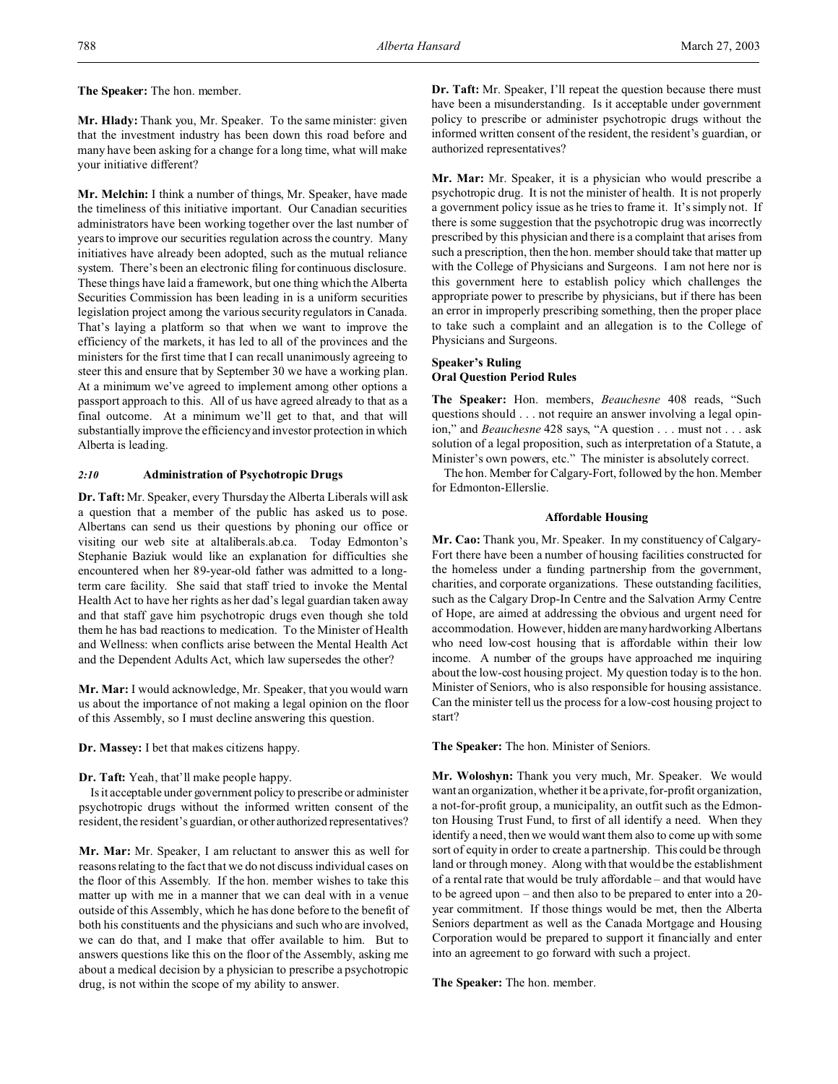**The Speaker:** The hon. member.

**Mr. Hlady:** Thank you, Mr. Speaker. To the same minister: given that the investment industry has been down this road before and many have been asking for a change for a long time, what will make your initiative different?

**Mr. Melchin:** I think a number of things, Mr. Speaker, have made the timeliness of this initiative important. Our Canadian securities administrators have been working together over the last number of years to improve our securities regulation across the country. Many initiatives have already been adopted, such as the mutual reliance system. There's been an electronic filing for continuous disclosure. These things have laid a framework, but one thing which the Alberta Securities Commission has been leading in is a uniform securities legislation project among the various security regulators in Canada. That's laying a platform so that when we want to improve the efficiency of the markets, it has led to all of the provinces and the ministers for the first time that I can recall unanimously agreeing to steer this and ensure that by September 30 we have a working plan. At a minimum we've agreed to implement among other options a passport approach to this. All of us have agreed already to that as a final outcome. At a minimum we'll get to that, and that will substantially improve the efficiency and investor protection in which Alberta is leading.

# *2:10* **Administration of Psychotropic Drugs**

**Dr. Taft:** Mr. Speaker, every Thursday the Alberta Liberals will ask a question that a member of the public has asked us to pose. Albertans can send us their questions by phoning our office or visiting our web site at altaliberals.ab.ca. Today Edmonton's Stephanie Baziuk would like an explanation for difficulties she encountered when her 89-year-old father was admitted to a longterm care facility. She said that staff tried to invoke the Mental Health Act to have her rights as her dad's legal guardian taken away and that staff gave him psychotropic drugs even though she told them he has bad reactions to medication. To the Minister of Health and Wellness: when conflicts arise between the Mental Health Act and the Dependent Adults Act, which law supersedes the other?

**Mr. Mar:** I would acknowledge, Mr. Speaker, that you would warn us about the importance of not making a legal opinion on the floor of this Assembly, so I must decline answering this question.

**Dr. Massey:** I bet that makes citizens happy.

**Dr. Taft:** Yeah, that'll make people happy.

Is it acceptable under government policy to prescribe or administer psychotropic drugs without the informed written consent of the resident, the resident's guardian, or other authorized representatives?

**Mr. Mar:** Mr. Speaker, I am reluctant to answer this as well for reasons relating to the fact that we do not discuss individual cases on the floor of this Assembly. If the hon. member wishes to take this matter up with me in a manner that we can deal with in a venue outside of this Assembly, which he has done before to the benefit of both his constituents and the physicians and such who are involved, we can do that, and I make that offer available to him. But to answers questions like this on the floor of the Assembly, asking me about a medical decision by a physician to prescribe a psychotropic drug, is not within the scope of my ability to answer.

**Dr. Taft:** Mr. Speaker, I'll repeat the question because there must have been a misunderstanding. Is it acceptable under government policy to prescribe or administer psychotropic drugs without the informed written consent of the resident, the resident's guardian, or authorized representatives?

**Mr. Mar:** Mr. Speaker, it is a physician who would prescribe a psychotropic drug. It is not the minister of health. It is not properly a government policy issue as he tries to frame it. It's simply not. If there is some suggestion that the psychotropic drug was incorrectly prescribed by this physician and there is a complaint that arises from such a prescription, then the hon. member should take that matter up with the College of Physicians and Surgeons. I am not here nor is this government here to establish policy which challenges the appropriate power to prescribe by physicians, but if there has been an error in improperly prescribing something, then the proper place to take such a complaint and an allegation is to the College of Physicians and Surgeons.

## **Speaker's Ruling Oral Question Period Rules**

**The Speaker:** Hon. members, *Beauchesne* 408 reads, "Such questions should . . . not require an answer involving a legal opinion," and *Beauchesne* 428 says, "A question . . . must not . . . ask solution of a legal proposition, such as interpretation of a Statute, a Minister's own powers, etc." The minister is absolutely correct.

The hon. Member for Calgary-Fort, followed by the hon. Member for Edmonton-Ellerslie.

# **Affordable Housing**

**Mr. Cao:** Thank you, Mr. Speaker. In my constituency of Calgary-Fort there have been a number of housing facilities constructed for the homeless under a funding partnership from the government, charities, and corporate organizations. These outstanding facilities, such as the Calgary Drop-In Centre and the Salvation Army Centre of Hope, are aimed at addressing the obvious and urgent need for accommodation. However, hidden are many hardworking Albertans who need low-cost housing that is affordable within their low income. A number of the groups have approached me inquiring about the low-cost housing project. My question today is to the hon. Minister of Seniors, who is also responsible for housing assistance. Can the minister tell us the process for a low-cost housing project to start?

**The Speaker:** The hon. Minister of Seniors.

**Mr. Woloshyn:** Thank you very much, Mr. Speaker. We would want an organization, whether it be a private, for-profit organization, a not-for-profit group, a municipality, an outfit such as the Edmonton Housing Trust Fund, to first of all identify a need. When they identify a need, then we would want them also to come up with some sort of equity in order to create a partnership. This could be through land or through money. Along with that would be the establishment of a rental rate that would be truly affordable – and that would have to be agreed upon – and then also to be prepared to enter into a 20 year commitment. If those things would be met, then the Alberta Seniors department as well as the Canada Mortgage and Housing Corporation would be prepared to support it financially and enter into an agreement to go forward with such a project.

**The Speaker:** The hon. member.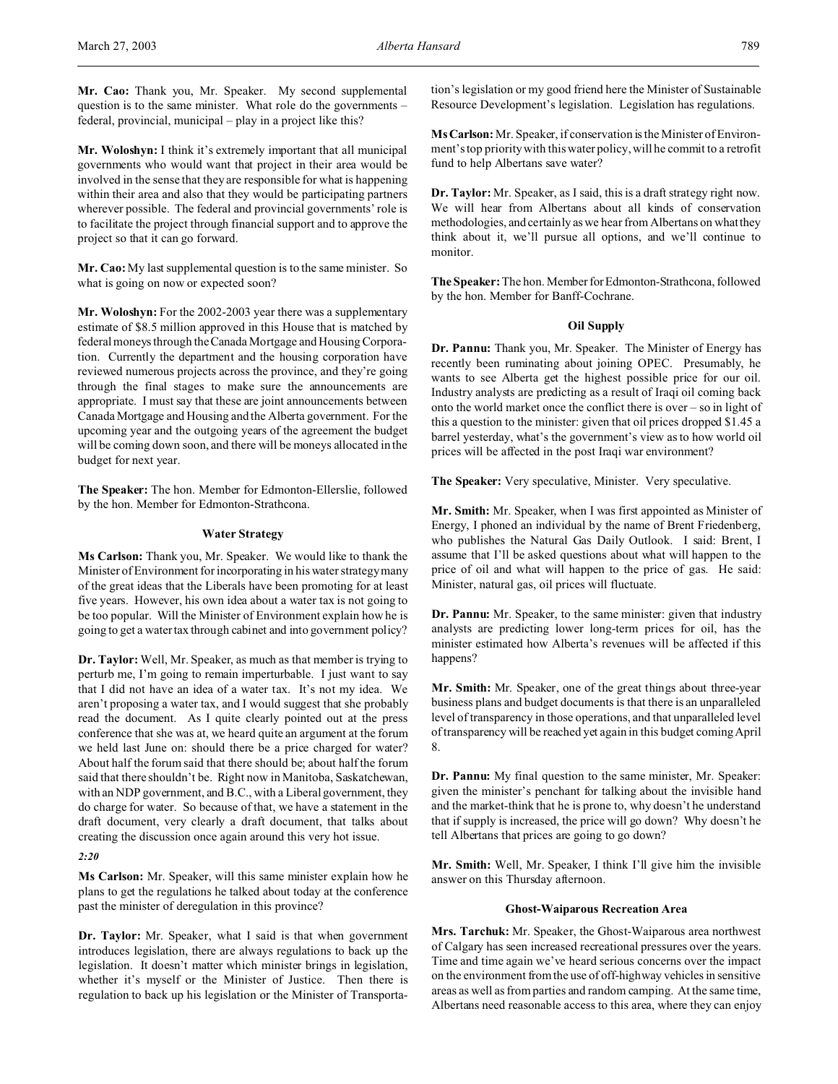**Mr. Woloshyn:** I think it's extremely important that all municipal governments who would want that project in their area would be involved in the sense that they are responsible for what is happening within their area and also that they would be participating partners wherever possible. The federal and provincial governments' role is to facilitate the project through financial support and to approve the project so that it can go forward.

**Mr. Cao:** My last supplemental question is to the same minister. So what is going on now or expected soon?

Mr. Woloshyn: For the 2002-2003 year there was a supplementary estimate of \$8.5 million approved in this House that is matched by federal moneys through the Canada Mortgage and Housing Corporation. Currently the department and the housing corporation have reviewed numerous projects across the province, and they're going through the final stages to make sure the announcements are appropriate. I must say that these are joint announcements between Canada Mortgage and Housing and the Alberta government. For the upcoming year and the outgoing years of the agreement the budget will be coming down soon, and there will be moneys allocated in the budget for next year.

**The Speaker:** The hon. Member for Edmonton-Ellerslie, followed by the hon. Member for Edmonton-Strathcona.

## **Water Strategy**

**Ms Carlson:** Thank you, Mr. Speaker. We would like to thank the Minister of Environment for incorporating in his water strategy many of the great ideas that the Liberals have been promoting for at least five years. However, his own idea about a water tax is not going to be too popular. Will the Minister of Environment explain how he is going to get a water tax through cabinet and into government policy?

**Dr. Taylor:** Well, Mr. Speaker, as much as that member is trying to perturb me, I'm going to remain imperturbable. I just want to say that I did not have an idea of a water tax. It's not my idea. We aren't proposing a water tax, and I would suggest that she probably read the document. As I quite clearly pointed out at the press conference that she was at, we heard quite an argument at the forum we held last June on: should there be a price charged for water? About half the forum said that there should be; about half the forum said that there shouldn't be. Right now in Manitoba, Saskatchewan, with an NDP government, and B.C., with a Liberal government, they do charge for water. So because of that, we have a statement in the draft document, very clearly a draft document, that talks about creating the discussion once again around this very hot issue.

*2:20*

**Ms Carlson:** Mr. Speaker, will this same minister explain how he plans to get the regulations he talked about today at the conference past the minister of deregulation in this province?

**Dr. Taylor:** Mr. Speaker, what I said is that when government introduces legislation, there are always regulations to back up the legislation. It doesn't matter which minister brings in legislation, whether it's myself or the Minister of Justice. Then there is regulation to back up his legislation or the Minister of Transportation's legislation or my good friend here the Minister of Sustainable Resource Development's legislation. Legislation has regulations.

**MsCarlson:** Mr. Speaker, if conservation is the Minister of Environment's top priority with this water policy, will he commit to a retrofit fund to help Albertans save water?

**Dr. Taylor:** Mr. Speaker, as I said, this is a draft strategy right now. We will hear from Albertans about all kinds of conservation methodologies, and certainly as we hear from Albertans on what they think about it, we'll pursue all options, and we'll continue to monitor.

**The Speaker:** The hon. Member forEdmonton-Strathcona, followed by the hon. Member for Banff-Cochrane.

## **Oil Supply**

**Dr. Pannu:** Thank you, Mr. Speaker. The Minister of Energy has recently been ruminating about joining OPEC. Presumably, he wants to see Alberta get the highest possible price for our oil. Industry analysts are predicting as a result of Iraqi oil coming back onto the world market once the conflict there is over – so in light of this a question to the minister: given that oil prices dropped \$1.45 a barrel yesterday, what's the government's view as to how world oil prices will be affected in the post Iraqi war environment?

**The Speaker:** Very speculative, Minister. Very speculative.

**Mr. Smith:** Mr. Speaker, when I was first appointed as Minister of Energy, I phoned an individual by the name of Brent Friedenberg, who publishes the Natural Gas Daily Outlook. I said: Brent, I assume that I'll be asked questions about what will happen to the price of oil and what will happen to the price of gas. He said: Minister, natural gas, oil prices will fluctuate.

**Dr. Pannu:** Mr. Speaker, to the same minister: given that industry analysts are predicting lower long-term prices for oil, has the minister estimated how Alberta's revenues will be affected if this happens?

**Mr. Smith:** Mr. Speaker, one of the great things about three-year business plans and budget documents is that there is an unparalleled level of transparency in those operations, and that unparalleled level of transparency will be reached yet again in this budget coming April 8.

**Dr. Pannu:** My final question to the same minister, Mr. Speaker: given the minister's penchant for talking about the invisible hand and the market-think that he is prone to, why doesn't he understand that if supply is increased, the price will go down? Why doesn't he tell Albertans that prices are going to go down?

**Mr. Smith:** Well, Mr. Speaker, I think I'll give him the invisible answer on this Thursday afternoon.

### **Ghost-Waiparous Recreation Area**

**Mrs. Tarchuk:** Mr. Speaker, the Ghost-Waiparous area northwest of Calgary has seen increased recreational pressures over the years. Time and time again we've heard serious concerns over the impact on the environment from the use of off-highway vehicles in sensitive areas as well as from parties and random camping. At the same time, Albertans need reasonable access to this area, where they can enjoy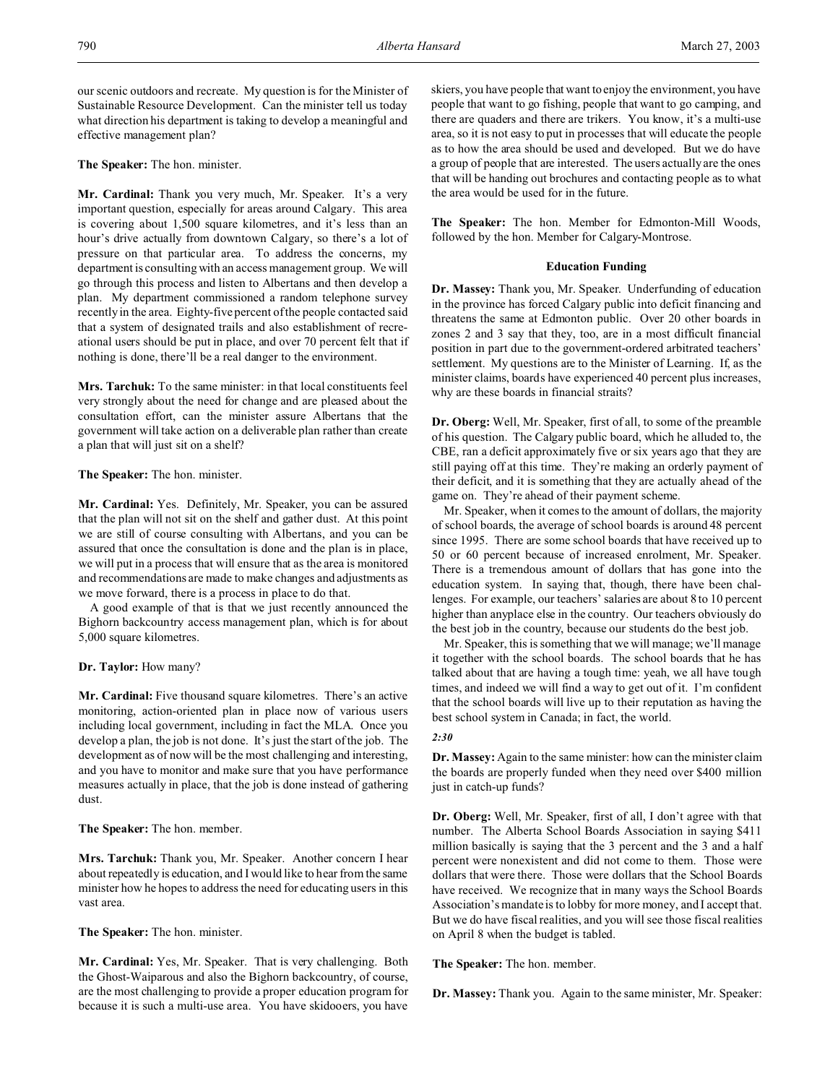our scenic outdoors and recreate. My question is for the Minister of Sustainable Resource Development. Can the minister tell us today what direction his department is taking to develop a meaningful and effective management plan?

**The Speaker:** The hon. minister.

**Mr. Cardinal:** Thank you very much, Mr. Speaker. It's a very important question, especially for areas around Calgary. This area is covering about 1,500 square kilometres, and it's less than an hour's drive actually from downtown Calgary, so there's a lot of pressure on that particular area. To address the concerns, my department is consulting with an access management group. We will go through this process and listen to Albertans and then develop a plan. My department commissioned a random telephone survey recently in the area. Eighty-five percent of the people contacted said that a system of designated trails and also establishment of recreational users should be put in place, and over 70 percent felt that if nothing is done, there'll be a real danger to the environment.

**Mrs. Tarchuk:** To the same minister: in that local constituents feel very strongly about the need for change and are pleased about the consultation effort, can the minister assure Albertans that the government will take action on a deliverable plan rather than create a plan that will just sit on a shelf?

# **The Speaker:** The hon. minister.

**Mr. Cardinal:** Yes. Definitely, Mr. Speaker, you can be assured that the plan will not sit on the shelf and gather dust. At this point we are still of course consulting with Albertans, and you can be assured that once the consultation is done and the plan is in place, we will put in a process that will ensure that as the area is monitored and recommendations are made to make changes and adjustments as we move forward, there is a process in place to do that.

A good example of that is that we just recently announced the Bighorn backcountry access management plan, which is for about 5,000 square kilometres.

## **Dr. Taylor:** How many?

**Mr. Cardinal:** Five thousand square kilometres. There's an active monitoring, action-oriented plan in place now of various users including local government, including in fact the MLA. Once you develop a plan, the job is not done. It's just the start of the job. The development as of now will be the most challenging and interesting, and you have to monitor and make sure that you have performance measures actually in place, that the job is done instead of gathering dust.

**The Speaker:** The hon. member.

**Mrs. Tarchuk:** Thank you, Mr. Speaker. Another concern I hear about repeatedly is education, and I would like to hear from the same minister how he hopes to address the need for educating users in this vast area.

**The Speaker:** The hon. minister.

**Mr. Cardinal:** Yes, Mr. Speaker. That is very challenging. Both the Ghost-Waiparous and also the Bighorn backcountry, of course, are the most challenging to provide a proper education program for because it is such a multi-use area. You have skidooers, you have

skiers, you have people that want to enjoy the environment, you have people that want to go fishing, people that want to go camping, and there are quaders and there are trikers. You know, it's a multi-use area, so it is not easy to put in processes that will educate the people as to how the area should be used and developed. But we do have a group of people that are interested. The users actually are the ones that will be handing out brochures and contacting people as to what the area would be used for in the future.

**The Speaker:** The hon. Member for Edmonton-Mill Woods, followed by the hon. Member for Calgary-Montrose.

## **Education Funding**

**Dr. Massey:** Thank you, Mr. Speaker. Underfunding of education in the province has forced Calgary public into deficit financing and threatens the same at Edmonton public. Over 20 other boards in zones 2 and 3 say that they, too, are in a most difficult financial position in part due to the government-ordered arbitrated teachers' settlement. My questions are to the Minister of Learning. If, as the minister claims, boards have experienced 40 percent plus increases, why are these boards in financial straits?

**Dr. Oberg:** Well, Mr. Speaker, first of all, to some of the preamble of his question. The Calgary public board, which he alluded to, the CBE, ran a deficit approximately five or six years ago that they are still paying off at this time. They're making an orderly payment of their deficit, and it is something that they are actually ahead of the game on. They're ahead of their payment scheme.

Mr. Speaker, when it comes to the amount of dollars, the majority of school boards, the average of school boards is around 48 percent since 1995. There are some school boards that have received up to 50 or 60 percent because of increased enrolment, Mr. Speaker. There is a tremendous amount of dollars that has gone into the education system. In saying that, though, there have been challenges. For example, our teachers' salaries are about 8 to 10 percent higher than anyplace else in the country. Our teachers obviously do the best job in the country, because our students do the best job.

Mr. Speaker, this is something that we will manage; we'll manage it together with the school boards. The school boards that he has talked about that are having a tough time: yeah, we all have tough times, and indeed we will find a way to get out of it. I'm confident that the school boards will live up to their reputation as having the best school system in Canada; in fact, the world.

## *2:30*

**Dr. Massey:** Again to the same minister: how can the minister claim the boards are properly funded when they need over \$400 million just in catch-up funds?

**Dr. Oberg:** Well, Mr. Speaker, first of all, I don't agree with that number. The Alberta School Boards Association in saying \$411 million basically is saying that the 3 percent and the 3 and a half percent were nonexistent and did not come to them. Those were dollars that were there. Those were dollars that the School Boards have received. We recognize that in many ways the School Boards Association's mandate is to lobby for more money, and I accept that. But we do have fiscal realities, and you will see those fiscal realities on April 8 when the budget is tabled.

**The Speaker:** The hon. member.

**Dr. Massey:** Thank you. Again to the same minister, Mr. Speaker: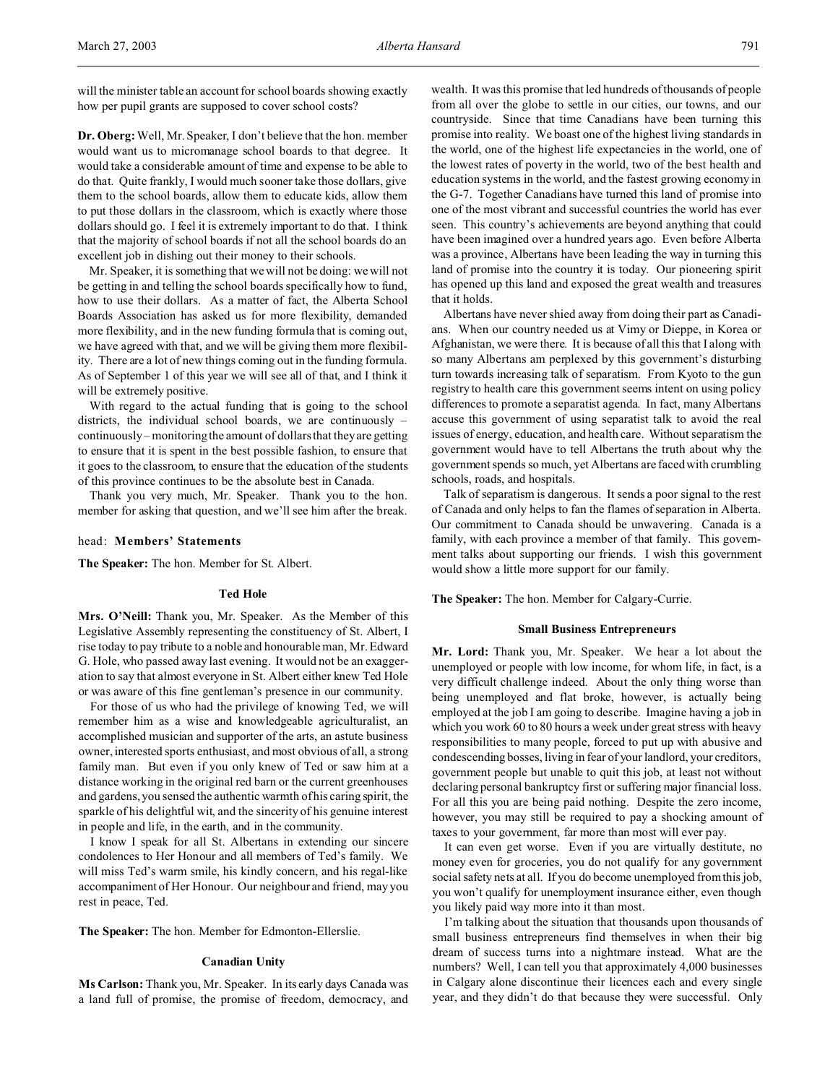will the minister table an account for school boards showing exactly how per pupil grants are supposed to cover school costs?

**Dr. Oberg:**Well, Mr. Speaker, I don't believe that the hon. member would want us to micromanage school boards to that degree. It would take a considerable amount of time and expense to be able to do that. Quite frankly, I would much sooner take those dollars, give them to the school boards, allow them to educate kids, allow them to put those dollars in the classroom, which is exactly where those dollars should go. I feel it is extremely important to do that. I think that the majority of school boards if not all the school boards do an excellent job in dishing out their money to their schools.

Mr. Speaker, it is something that we will not be doing: we will not be getting in and telling the school boards specifically how to fund, how to use their dollars. As a matter of fact, the Alberta School Boards Association has asked us for more flexibility, demanded more flexibility, and in the new funding formula that is coming out, we have agreed with that, and we will be giving them more flexibility. There are a lot of new things coming out in the funding formula. As of September 1 of this year we will see all of that, and I think it will be extremely positive.

With regard to the actual funding that is going to the school districts, the individual school boards, we are continuously – continuously – monitoring the amount of dollars that they are getting to ensure that it is spent in the best possible fashion, to ensure that it goes to the classroom, to ensure that the education of the students of this province continues to be the absolute best in Canada.

Thank you very much, Mr. Speaker. Thank you to the hon. member for asking that question, and we'll see him after the break.

### head: **Members' Statements**

**The Speaker:** The hon. Member for St. Albert.

## **Ted Hole**

**Mrs. O'Neill:** Thank you, Mr. Speaker. As the Member of this Legislative Assembly representing the constituency of St. Albert, I rise today to pay tribute to a noble and honourable man, Mr. Edward G. Hole, who passed away last evening. It would not be an exaggeration to say that almost everyone in St. Albert either knew Ted Hole or was aware of this fine gentleman's presence in our community.

For those of us who had the privilege of knowing Ted, we will remember him as a wise and knowledgeable agriculturalist, an accomplished musician and supporter of the arts, an astute business owner, interested sports enthusiast, and most obvious of all, a strong family man. But even if you only knew of Ted or saw him at a distance working in the original red barn or the current greenhouses and gardens, you sensed the authentic warmth of his caring spirit, the sparkle of his delightful wit, and the sincerity of his genuine interest in people and life, in the earth, and in the community.

I know I speak for all St. Albertans in extending our sincere condolences to Her Honour and all members of Ted's family. We will miss Ted's warm smile, his kindly concern, and his regal-like accompaniment of Her Honour. Our neighbour and friend, may you rest in peace, Ted.

**The Speaker:** The hon. Member for Edmonton-Ellerslie.

## **Canadian Unity**

**Ms Carlson:** Thank you, Mr. Speaker. In its early days Canada was a land full of promise, the promise of freedom, democracy, and wealth. It was this promise that led hundreds of thousands of people from all over the globe to settle in our cities, our towns, and our countryside. Since that time Canadians have been turning this promise into reality. We boast one of the highest living standards in the world, one of the highest life expectancies in the world, one of the lowest rates of poverty in the world, two of the best health and education systems in the world, and the fastest growing economy in the G-7. Together Canadians have turned this land of promise into one of the most vibrant and successful countries the world has ever seen. This country's achievements are beyond anything that could have been imagined over a hundred years ago. Even before Alberta was a province, Albertans have been leading the way in turning this land of promise into the country it is today. Our pioneering spirit has opened up this land and exposed the great wealth and treasures that it holds.

Albertans have never shied away from doing their part as Canadians. When our country needed us at Vimy or Dieppe, in Korea or Afghanistan, we were there. It is because of all this that I along with so many Albertans am perplexed by this government's disturbing turn towards increasing talk of separatism. From Kyoto to the gun registry to health care this government seems intent on using policy differences to promote a separatist agenda. In fact, many Albertans accuse this government of using separatist talk to avoid the real issues of energy, education, and health care. Without separatism the government would have to tell Albertans the truth about why the government spends so much, yet Albertans are faced with crumbling schools, roads, and hospitals.

Talk of separatism is dangerous. It sends a poor signal to the rest of Canada and only helps to fan the flames of separation in Alberta. Our commitment to Canada should be unwavering. Canada is a family, with each province a member of that family. This government talks about supporting our friends. I wish this government would show a little more support for our family.

**The Speaker:** The hon. Member for Calgary-Currie.

## **Small Business Entrepreneurs**

**Mr. Lord:** Thank you, Mr. Speaker. We hear a lot about the unemployed or people with low income, for whom life, in fact, is a very difficult challenge indeed. About the only thing worse than being unemployed and flat broke, however, is actually being employed at the job I am going to describe. Imagine having a job in which you work 60 to 80 hours a week under great stress with heavy responsibilities to many people, forced to put up with abusive and condescending bosses, living in fear of your landlord, your creditors, government people but unable to quit this job, at least not without declaring personal bankruptcy first or suffering major financial loss. For all this you are being paid nothing. Despite the zero income, however, you may still be required to pay a shocking amount of taxes to your government, far more than most will ever pay.

It can even get worse. Even if you are virtually destitute, no money even for groceries, you do not qualify for any government social safety nets at all. If you do become unemployed from this job, you won't qualify for unemployment insurance either, even though you likely paid way more into it than most.

I'm talking about the situation that thousands upon thousands of small business entrepreneurs find themselves in when their big dream of success turns into a nightmare instead. What are the numbers? Well, I can tell you that approximately 4,000 businesses in Calgary alone discontinue their licences each and every single year, and they didn't do that because they were successful. Only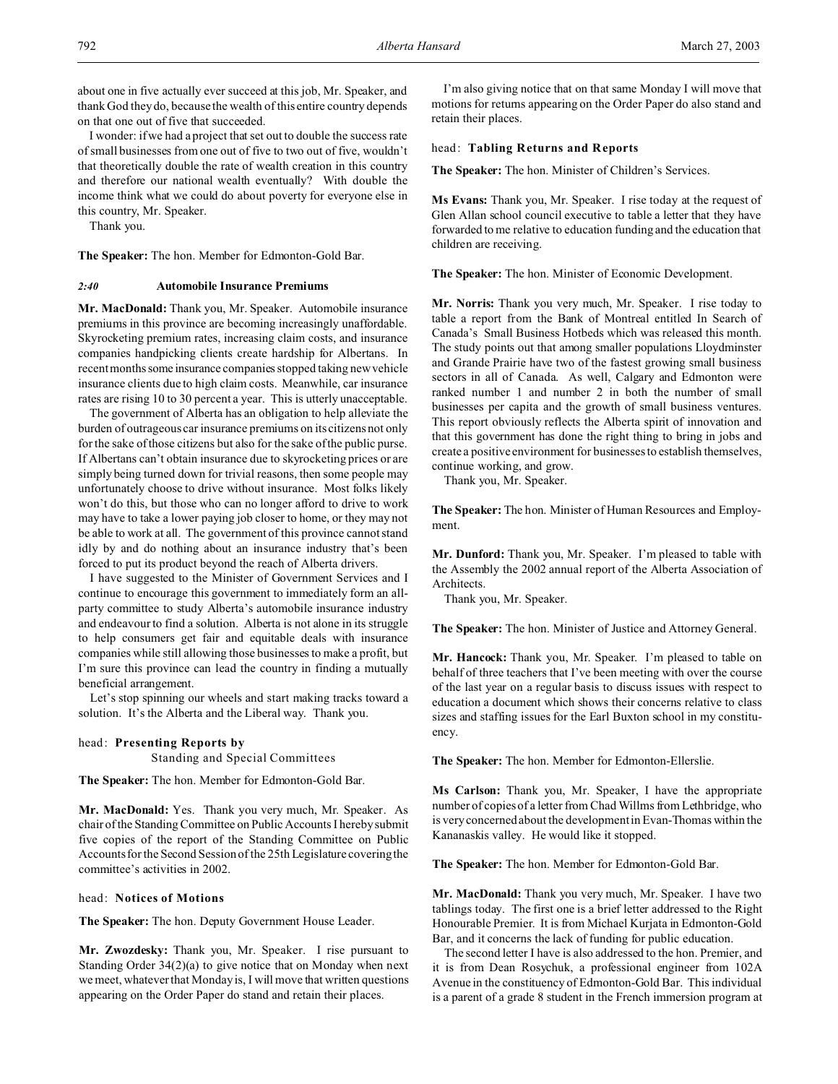about one in five actually ever succeed at this job, Mr. Speaker, and thank God they do, because the wealth of this entire country depends on that one out of five that succeeded.

I wonder: if we had a project that set out to double the success rate of small businesses from one out of five to two out of five, wouldn't that theoretically double the rate of wealth creation in this country and therefore our national wealth eventually? With double the income think what we could do about poverty for everyone else in this country, Mr. Speaker.

Thank you.

**The Speaker:** The hon. Member for Edmonton-Gold Bar.

### *2:40* **Automobile Insurance Premiums**

**Mr. MacDonald:** Thank you, Mr. Speaker. Automobile insurance premiums in this province are becoming increasingly unaffordable. Skyrocketing premium rates, increasing claim costs, and insurance companies handpicking clients create hardship for Albertans. In recent months some insurance companies stopped taking new vehicle insurance clients due to high claim costs. Meanwhile, car insurance rates are rising 10 to 30 percent a year. This is utterly unacceptable.

The government of Alberta has an obligation to help alleviate the burden of outrageous car insurance premiums on its citizens not only for the sake of those citizens but also for the sake of the public purse. If Albertans can't obtain insurance due to skyrocketing prices or are simply being turned down for trivial reasons, then some people may unfortunately choose to drive without insurance. Most folks likely won't do this, but those who can no longer afford to drive to work may have to take a lower paying job closer to home, or they may not be able to work at all. The government of this province cannot stand idly by and do nothing about an insurance industry that's been forced to put its product beyond the reach of Alberta drivers.

I have suggested to the Minister of Government Services and I continue to encourage this government to immediately form an allparty committee to study Alberta's automobile insurance industry and endeavour to find a solution. Alberta is not alone in its struggle to help consumers get fair and equitable deals with insurance companies while still allowing those businesses to make a profit, but I'm sure this province can lead the country in finding a mutually beneficial arrangement.

Let's stop spinning our wheels and start making tracks toward a solution. It's the Alberta and the Liberal way. Thank you.

## head: **Presenting Reports by**

Standing and Special Committees

**The Speaker:** The hon. Member for Edmonton-Gold Bar.

**Mr. MacDonald:** Yes. Thank you very much, Mr. Speaker. As chair of the Standing Committee on Public Accounts I hereby submit five copies of the report of the Standing Committee on Public Accounts for the Second Session of the 25th Legislature covering the committee's activities in 2002.

#### head: **Notices of Motions**

**The Speaker:** The hon. Deputy Government House Leader.

**Mr. Zwozdesky:** Thank you, Mr. Speaker. I rise pursuant to Standing Order 34(2)(a) to give notice that on Monday when next we meet, whatever that Monday is, I will move that written questions appearing on the Order Paper do stand and retain their places.

I'm also giving notice that on that same Monday I will move that motions for returns appearing on the Order Paper do also stand and retain their places.

## head: **Tabling Returns and Reports**

**The Speaker:** The hon. Minister of Children's Services.

**Ms Evans:** Thank you, Mr. Speaker. I rise today at the request of Glen Allan school council executive to table a letter that they have forwarded to me relative to education funding and the education that children are receiving.

**The Speaker:** The hon. Minister of Economic Development.

**Mr. Norris:** Thank you very much, Mr. Speaker. I rise today to table a report from the Bank of Montreal entitled In Search of Canada's Small Business Hotbeds which was released this month. The study points out that among smaller populations Lloydminster and Grande Prairie have two of the fastest growing small business sectors in all of Canada. As well, Calgary and Edmonton were ranked number 1 and number 2 in both the number of small businesses per capita and the growth of small business ventures. This report obviously reflects the Alberta spirit of innovation and that this government has done the right thing to bring in jobs and create a positive environment for businesses to establish themselves, continue working, and grow.

Thank you, Mr. Speaker.

**The Speaker:** The hon. Minister of Human Resources and Employment.

**Mr. Dunford:** Thank you, Mr. Speaker. I'm pleased to table with the Assembly the 2002 annual report of the Alberta Association of Architects.

Thank you, Mr. Speaker.

**The Speaker:** The hon. Minister of Justice and Attorney General.

**Mr. Hancock:** Thank you, Mr. Speaker. I'm pleased to table on behalf of three teachers that I've been meeting with over the course of the last year on a regular basis to discuss issues with respect to education a document which shows their concerns relative to class sizes and staffing issues for the Earl Buxton school in my constituency.

**The Speaker:** The hon. Member for Edmonton-Ellerslie.

**Ms Carlson:** Thank you, Mr. Speaker, I have the appropriate number of copies of a letter from Chad Willms from Lethbridge, who is very concerned about the development in Evan-Thomas within the Kananaskis valley. He would like it stopped.

**The Speaker:** The hon. Member for Edmonton-Gold Bar.

**Mr. MacDonald:** Thank you very much, Mr. Speaker. I have two tablings today. The first one is a brief letter addressed to the Right Honourable Premier. It is from Michael Kurjata in Edmonton-Gold Bar, and it concerns the lack of funding for public education.

The second letter I have is also addressed to the hon. Premier, and it is from Dean Rosychuk, a professional engineer from 102A Avenue in the constituency of Edmonton-Gold Bar. This individual is a parent of a grade 8 student in the French immersion program at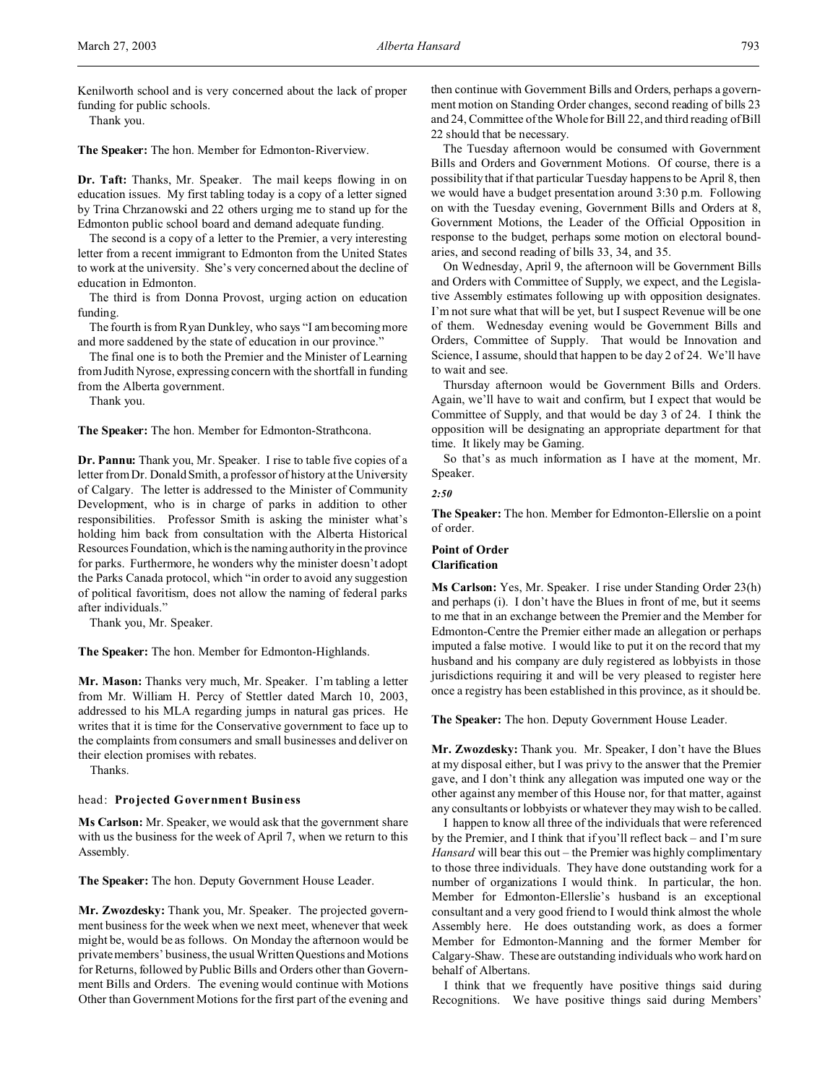Kenilworth school and is very concerned about the lack of proper funding for public schools.

Thank you.

**The Speaker:** The hon. Member for Edmonton-Riverview.

**Dr. Taft:** Thanks, Mr. Speaker. The mail keeps flowing in on education issues. My first tabling today is a copy of a letter signed by Trina Chrzanowski and 22 others urging me to stand up for the Edmonton public school board and demand adequate funding.

The second is a copy of a letter to the Premier, a very interesting letter from a recent immigrant to Edmonton from the United States to work at the university. She's very concerned about the decline of education in Edmonton.

The third is from Donna Provost, urging action on education funding.

The fourth is from Ryan Dunkley, who says "I am becoming more and more saddened by the state of education in our province."

The final one is to both the Premier and the Minister of Learning from Judith Nyrose, expressing concern with the shortfall in funding from the Alberta government.

Thank you.

**The Speaker:** The hon. Member for Edmonton-Strathcona.

**Dr. Pannu:** Thank you, Mr. Speaker. I rise to table five copies of a letter from Dr. Donald Smith, a professor of history at the University of Calgary. The letter is addressed to the Minister of Community Development, who is in charge of parks in addition to other responsibilities. Professor Smith is asking the minister what's holding him back from consultation with the Alberta Historical Resources Foundation, which is the naming authority in the province for parks. Furthermore, he wonders why the minister doesn't adopt the Parks Canada protocol, which "in order to avoid any suggestion of political favoritism, does not allow the naming of federal parks after individuals."

Thank you, Mr. Speaker.

**The Speaker:** The hon. Member for Edmonton-Highlands.

**Mr. Mason:** Thanks very much, Mr. Speaker. I'm tabling a letter from Mr. William H. Percy of Stettler dated March 10, 2003, addressed to his MLA regarding jumps in natural gas prices. He writes that it is time for the Conservative government to face up to the complaints from consumers and small businesses and deliver on their election promises with rebates.

Thanks.

## head: **Projected Government Business**

**Ms Carlson:** Mr. Speaker, we would ask that the government share with us the business for the week of April 7, when we return to this Assembly.

**The Speaker:** The hon. Deputy Government House Leader.

**Mr. Zwozdesky:** Thank you, Mr. Speaker. The projected government business for the week when we next meet, whenever that week might be, would be as follows. On Monday the afternoon would be private members' business, the usual Written Questions and Motions for Returns, followed by Public Bills and Orders other than Government Bills and Orders. The evening would continue with Motions Other than Government Motions for the first part of the evening and

then continue with Government Bills and Orders, perhaps a government motion on Standing Order changes, second reading of bills 23 and 24, Committee of the Whole for Bill 22, and third reading of Bill 22 should that be necessary.

The Tuesday afternoon would be consumed with Government Bills and Orders and Government Motions. Of course, there is a possibility that if that particular Tuesday happens to be April 8, then we would have a budget presentation around 3:30 p.m. Following on with the Tuesday evening, Government Bills and Orders at 8, Government Motions, the Leader of the Official Opposition in response to the budget, perhaps some motion on electoral boundaries, and second reading of bills 33, 34, and 35.

On Wednesday, April 9, the afternoon will be Government Bills and Orders with Committee of Supply, we expect, and the Legislative Assembly estimates following up with opposition designates. I'm not sure what that will be yet, but I suspect Revenue will be one of them. Wednesday evening would be Government Bills and Orders, Committee of Supply. That would be Innovation and Science, I assume, should that happen to be day 2 of 24. We'll have to wait and see.

Thursday afternoon would be Government Bills and Orders. Again, we'll have to wait and confirm, but I expect that would be Committee of Supply, and that would be day 3 of 24. I think the opposition will be designating an appropriate department for that time. It likely may be Gaming.

So that's as much information as I have at the moment, Mr. Speaker.

#### *2:50*

**The Speaker:** The hon. Member for Edmonton-Ellerslie on a point of order.

## **Point of Order Clarification**

**Ms Carlson:** Yes, Mr. Speaker. I rise under Standing Order 23(h) and perhaps (i). I don't have the Blues in front of me, but it seems to me that in an exchange between the Premier and the Member for Edmonton-Centre the Premier either made an allegation or perhaps imputed a false motive. I would like to put it on the record that my husband and his company are duly registered as lobbyists in those jurisdictions requiring it and will be very pleased to register here once a registry has been established in this province, as it should be.

**The Speaker:** The hon. Deputy Government House Leader.

**Mr. Zwozdesky:** Thank you. Mr. Speaker, I don't have the Blues at my disposal either, but I was privy to the answer that the Premier gave, and I don't think any allegation was imputed one way or the other against any member of this House nor, for that matter, against any consultants or lobbyists or whatever they may wish to be called.

I happen to know all three of the individuals that were referenced by the Premier, and I think that if you'll reflect back – and I'm sure *Hansard* will bear this out – the Premier was highly complimentary to those three individuals. They have done outstanding work for a number of organizations I would think. In particular, the hon. Member for Edmonton-Ellerslie's husband is an exceptional consultant and a very good friend to I would think almost the whole Assembly here. He does outstanding work, as does a former Member for Edmonton-Manning and the former Member for Calgary-Shaw. These are outstanding individuals who work hard on behalf of Albertans.

I think that we frequently have positive things said during Recognitions. We have positive things said during Members'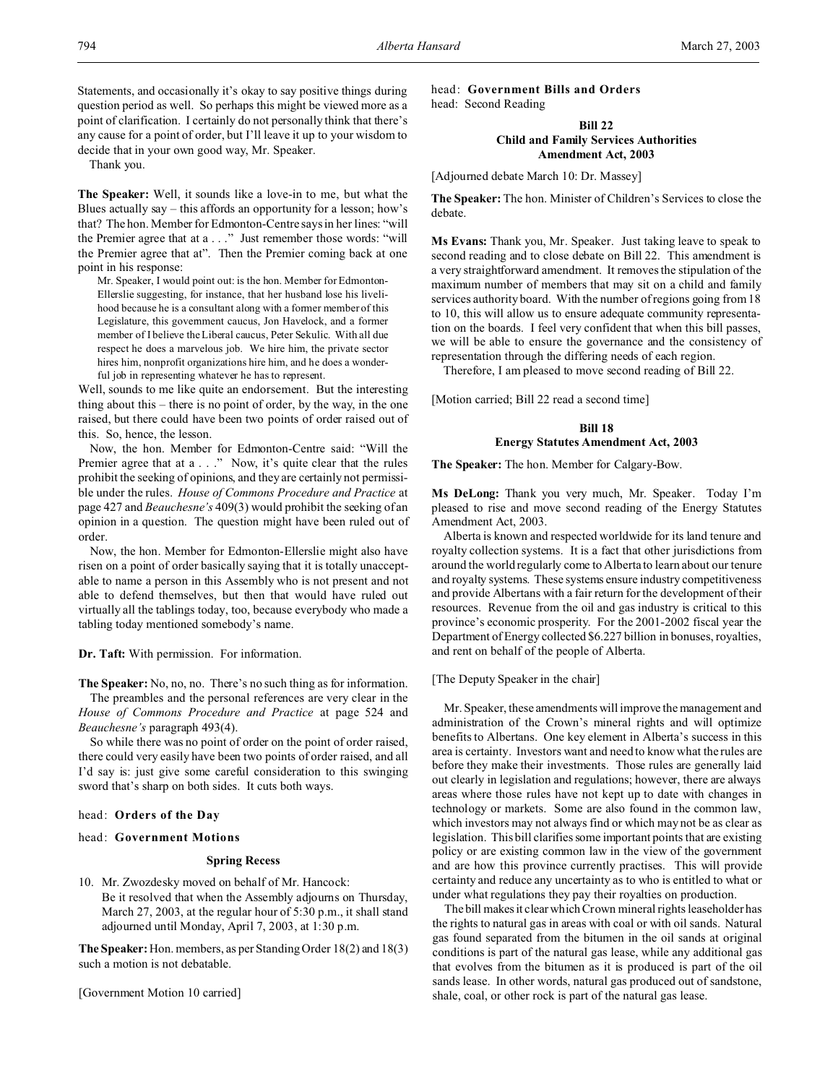Statements, and occasionally it's okay to say positive things during question period as well. So perhaps this might be viewed more as a point of clarification. I certainly do not personally think that there's any cause for a point of order, but I'll leave it up to your wisdom to decide that in your own good way, Mr. Speaker.

Thank you.

**The Speaker:** Well, it sounds like a love-in to me, but what the Blues actually say – this affords an opportunity for a lesson; how's that? The hon. Member for Edmonton-Centre says in her lines: "will the Premier agree that at a . . ." Just remember those words: "will the Premier agree that at". Then the Premier coming back at one point in his response:

Mr. Speaker, I would point out: is the hon. Member for Edmonton-Ellerslie suggesting, for instance, that her husband lose his livelihood because he is a consultant along with a former member of this Legislature, this government caucus, Jon Havelock, and a former member of I believe the Liberal caucus, Peter Sekulic. With all due respect he does a marvelous job. We hire him, the private sector hires him, nonprofit organizations hire him, and he does a wonderful job in representing whatever he has to represent.

Well, sounds to me like quite an endorsement. But the interesting thing about this – there is no point of order, by the way, in the one raised, but there could have been two points of order raised out of this. So, hence, the lesson.

Now, the hon. Member for Edmonton-Centre said: "Will the Premier agree that at a . . ." Now, it's quite clear that the rules prohibit the seeking of opinions, and they are certainly not permissible under the rules. *House of Commons Procedure and Practice* at page 427 and *Beauchesne's* 409(3) would prohibit the seeking of an opinion in a question. The question might have been ruled out of order.

Now, the hon. Member for Edmonton-Ellerslie might also have risen on a point of order basically saying that it is totally unacceptable to name a person in this Assembly who is not present and not able to defend themselves, but then that would have ruled out virtually all the tablings today, too, because everybody who made a tabling today mentioned somebody's name.

**Dr. Taft:** With permission. For information.

**The Speaker:** No, no, no. There's no such thing as for information. The preambles and the personal references are very clear in the *House of Commons Procedure and Practice* at page 524 and *Beauchesne's* paragraph 493(4).

So while there was no point of order on the point of order raised, there could very easily have been two points of order raised, and all I'd say is: just give some careful consideration to this swinging sword that's sharp on both sides. It cuts both ways.

#### head: **Orders of the Day**

## head: **Government Motions**

## **Spring Recess**

10. Mr. Zwozdesky moved on behalf of Mr. Hancock: Be it resolved that when the Assembly adjourns on Thursday, March 27, 2003, at the regular hour of 5:30 p.m., it shall stand adjourned until Monday, April 7, 2003, at 1:30 p.m.

**The Speaker:** Hon. members, as per Standing Order 18(2) and 18(3) such a motion is not debatable.

[Government Motion 10 carried]

head: **Government Bills and Orders** head: Second Reading

## **Bill 22 Child and Family Services Authorities Amendment Act, 2003**

[Adjourned debate March 10: Dr. Massey]

**The Speaker:** The hon. Minister of Children's Services to close the debate.

**Ms Evans:** Thank you, Mr. Speaker. Just taking leave to speak to second reading and to close debate on Bill 22. This amendment is a very straightforward amendment. It removes the stipulation of the maximum number of members that may sit on a child and family services authority board. With the number of regions going from 18 to 10, this will allow us to ensure adequate community representation on the boards. I feel very confident that when this bill passes, we will be able to ensure the governance and the consistency of representation through the differing needs of each region.

Therefore, I am pleased to move second reading of Bill 22.

[Motion carried; Bill 22 read a second time]

# **Bill 18 Energy Statutes Amendment Act, 2003**

**The Speaker:** The hon. Member for Calgary-Bow.

**Ms DeLong:** Thank you very much, Mr. Speaker. Today I'm pleased to rise and move second reading of the Energy Statutes Amendment Act, 2003.

Alberta is known and respected worldwide for its land tenure and royalty collection systems. It is a fact that other jurisdictions from around the world regularly come to Alberta to learn about our tenure and royalty systems. These systems ensure industry competitiveness and provide Albertans with a fair return for the development of their resources. Revenue from the oil and gas industry is critical to this province's economic prosperity. For the 2001-2002 fiscal year the Department of Energy collected \$6.227 billion in bonuses, royalties, and rent on behalf of the people of Alberta.

[The Deputy Speaker in the chair]

Mr. Speaker, these amendments will improve the management and administration of the Crown's mineral rights and will optimize benefits to Albertans. One key element in Alberta's success in this area is certainty. Investors want and need to know what the rules are before they make their investments. Those rules are generally laid out clearly in legislation and regulations; however, there are always areas where those rules have not kept up to date with changes in technology or markets. Some are also found in the common law, which investors may not always find or which may not be as clear as legislation. This bill clarifies some important points that are existing policy or are existing common law in the view of the government and are how this province currently practises. This will provide certainty and reduce any uncertainty as to who is entitled to what or under what regulations they pay their royalties on production.

The bill makes it clear which Crown mineral rights leaseholder has the rights to natural gas in areas with coal or with oil sands. Natural gas found separated from the bitumen in the oil sands at original conditions is part of the natural gas lease, while any additional gas that evolves from the bitumen as it is produced is part of the oil sands lease. In other words, natural gas produced out of sandstone, shale, coal, or other rock is part of the natural gas lease.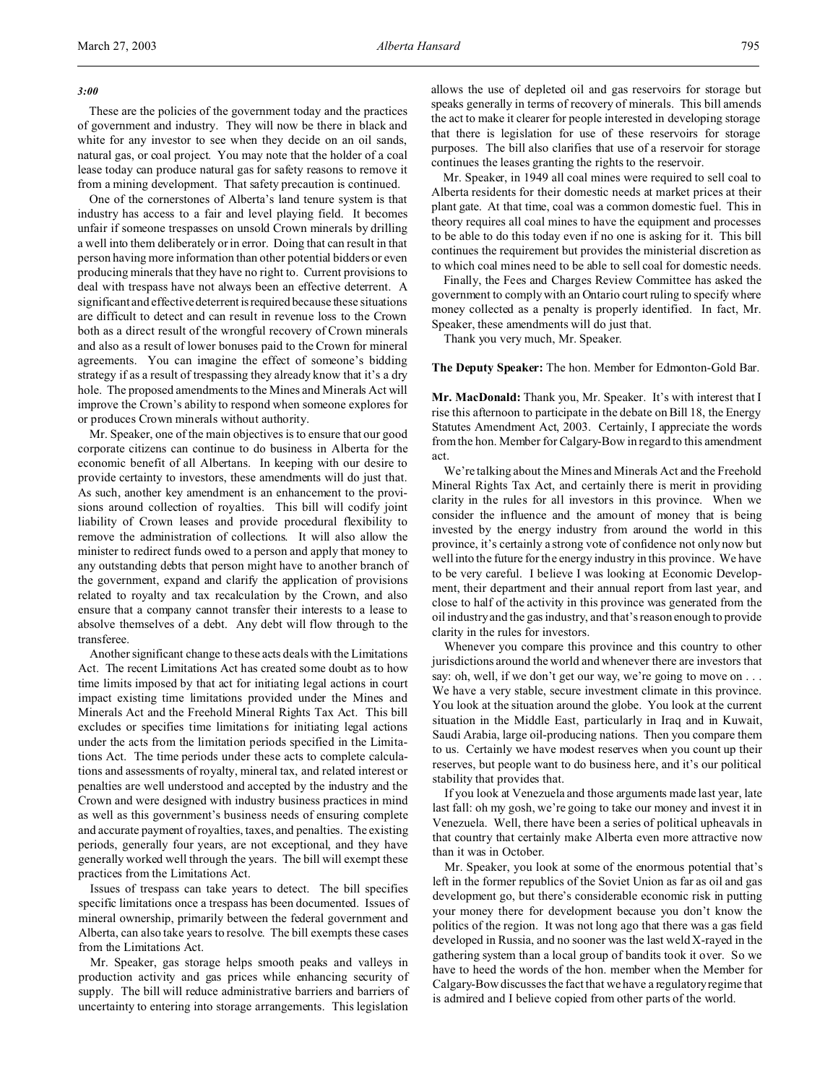### *3:00*

These are the policies of the government today and the practices of government and industry. They will now be there in black and white for any investor to see when they decide on an oil sands, natural gas, or coal project. You may note that the holder of a coal lease today can produce natural gas for safety reasons to remove it from a mining development. That safety precaution is continued.

One of the cornerstones of Alberta's land tenure system is that industry has access to a fair and level playing field. It becomes unfair if someone trespasses on unsold Crown minerals by drilling a well into them deliberately or in error. Doing that can result in that person having more information than other potential bidders or even producing minerals that they have no right to. Current provisions to deal with trespass have not always been an effective deterrent. A significant and effective deterrent is required because these situations are difficult to detect and can result in revenue loss to the Crown both as a direct result of the wrongful recovery of Crown minerals and also as a result of lower bonuses paid to the Crown for mineral agreements. You can imagine the effect of someone's bidding strategy if as a result of trespassing they already know that it's a dry hole. The proposed amendments to the Mines and Minerals Act will improve the Crown's ability to respond when someone explores for or produces Crown minerals without authority.

Mr. Speaker, one of the main objectives is to ensure that our good corporate citizens can continue to do business in Alberta for the economic benefit of all Albertans. In keeping with our desire to provide certainty to investors, these amendments will do just that. As such, another key amendment is an enhancement to the provisions around collection of royalties. This bill will codify joint liability of Crown leases and provide procedural flexibility to remove the administration of collections. It will also allow the minister to redirect funds owed to a person and apply that money to any outstanding debts that person might have to another branch of the government, expand and clarify the application of provisions related to royalty and tax recalculation by the Crown, and also ensure that a company cannot transfer their interests to a lease to absolve themselves of a debt. Any debt will flow through to the transferee.

Another significant change to these acts deals with the Limitations Act. The recent Limitations Act has created some doubt as to how time limits imposed by that act for initiating legal actions in court impact existing time limitations provided under the Mines and Minerals Act and the Freehold Mineral Rights Tax Act. This bill excludes or specifies time limitations for initiating legal actions under the acts from the limitation periods specified in the Limitations Act. The time periods under these acts to complete calculations and assessments of royalty, mineral tax, and related interest or penalties are well understood and accepted by the industry and the Crown and were designed with industry business practices in mind as well as this government's business needs of ensuring complete and accurate payment of royalties, taxes, and penalties. The existing periods, generally four years, are not exceptional, and they have generally worked well through the years. The bill will exempt these practices from the Limitations Act.

Issues of trespass can take years to detect. The bill specifies specific limitations once a trespass has been documented. Issues of mineral ownership, primarily between the federal government and Alberta, can also take years to resolve. The bill exempts these cases from the Limitations Act.

Mr. Speaker, gas storage helps smooth peaks and valleys in production activity and gas prices while enhancing security of supply. The bill will reduce administrative barriers and barriers of uncertainty to entering into storage arrangements. This legislation

allows the use of depleted oil and gas reservoirs for storage but speaks generally in terms of recovery of minerals. This bill amends the act to make it clearer for people interested in developing storage that there is legislation for use of these reservoirs for storage purposes. The bill also clarifies that use of a reservoir for storage continues the leases granting the rights to the reservoir.

Mr. Speaker, in 1949 all coal mines were required to sell coal to Alberta residents for their domestic needs at market prices at their plant gate. At that time, coal was a common domestic fuel. This in theory requires all coal mines to have the equipment and processes to be able to do this today even if no one is asking for it. This bill continues the requirement but provides the ministerial discretion as to which coal mines need to be able to sell coal for domestic needs.

Finally, the Fees and Charges Review Committee has asked the government to comply with an Ontario court ruling to specify where money collected as a penalty is properly identified. In fact, Mr. Speaker, these amendments will do just that.

Thank you very much, Mr. Speaker.

**The Deputy Speaker:** The hon. Member for Edmonton-Gold Bar.

**Mr. MacDonald:** Thank you, Mr. Speaker. It's with interest that I rise this afternoon to participate in the debate on Bill 18, the Energy Statutes Amendment Act, 2003. Certainly, I appreciate the words from the hon. Member for Calgary-Bow in regard to this amendment act.

We're talking about the Mines and Minerals Act and the Freehold Mineral Rights Tax Act, and certainly there is merit in providing clarity in the rules for all investors in this province. When we consider the influence and the amount of money that is being invested by the energy industry from around the world in this province, it's certainly a strong vote of confidence not only now but well into the future for the energy industry in this province. We have to be very careful. I believe I was looking at Economic Development, their department and their annual report from last year, and close to half of the activity in this province was generated from the oil industry and the gas industry, and that's reason enough to provide clarity in the rules for investors.

Whenever you compare this province and this country to other jurisdictions around the world and whenever there are investors that say: oh, well, if we don't get our way, we're going to move on . . . We have a very stable, secure investment climate in this province. You look at the situation around the globe. You look at the current situation in the Middle East, particularly in Iraq and in Kuwait, Saudi Arabia, large oil-producing nations. Then you compare them to us. Certainly we have modest reserves when you count up their reserves, but people want to do business here, and it's our political stability that provides that.

If you look at Venezuela and those arguments made last year, late last fall: oh my gosh, we're going to take our money and invest it in Venezuela. Well, there have been a series of political upheavals in that country that certainly make Alberta even more attractive now than it was in October.

Mr. Speaker, you look at some of the enormous potential that's left in the former republics of the Soviet Union as far as oil and gas development go, but there's considerable economic risk in putting your money there for development because you don't know the politics of the region. It was not long ago that there was a gas field developed in Russia, and no sooner was the last weld X-rayed in the gathering system than a local group of bandits took it over. So we have to heed the words of the hon. member when the Member for Calgary-Bow discusses the fact that we have a regulatory regime that is admired and I believe copied from other parts of the world.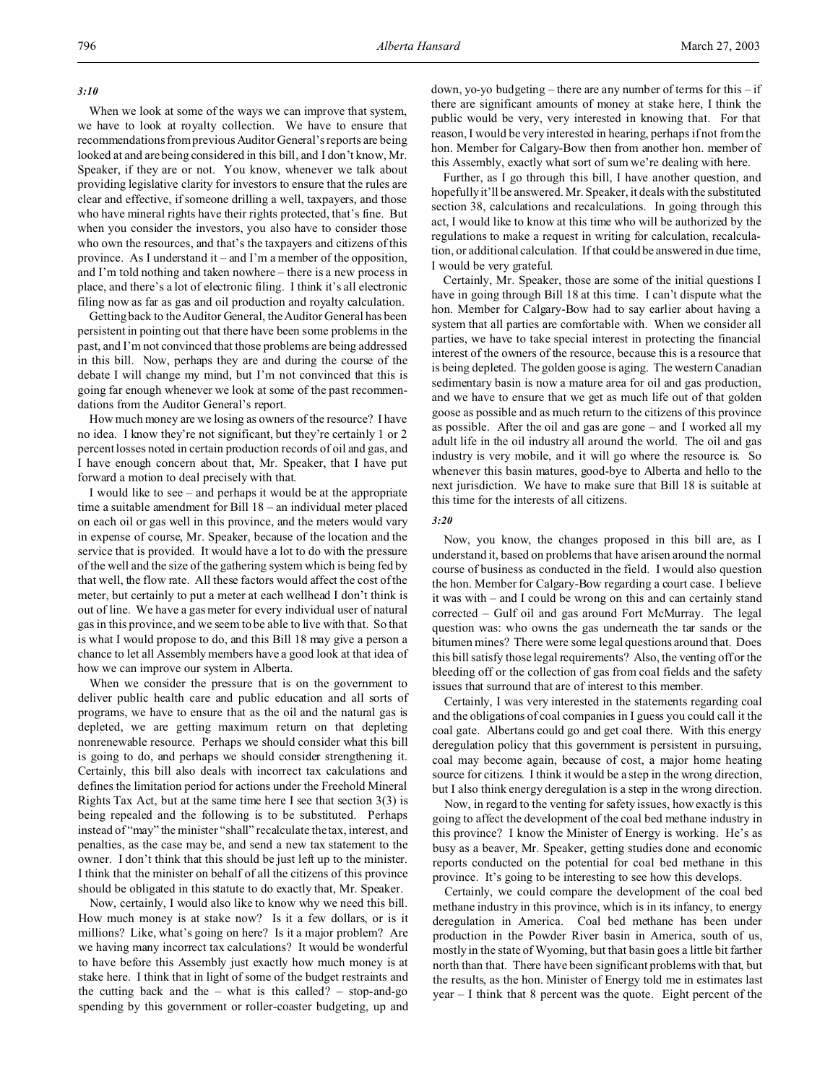### *3:10*

When we look at some of the ways we can improve that system, we have to look at royalty collection. We have to ensure that recommendations from previous Auditor General's reports are being looked at and are being considered in this bill, and I don't know, Mr. Speaker, if they are or not. You know, whenever we talk about providing legislative clarity for investors to ensure that the rules are clear and effective, if someone drilling a well, taxpayers, and those who have mineral rights have their rights protected, that's fine. But when you consider the investors, you also have to consider those who own the resources, and that's the taxpayers and citizens of this province. As I understand it – and I'm a member of the opposition, and I'm told nothing and taken nowhere – there is a new process in place, and there's a lot of electronic filing. I think it's all electronic filing now as far as gas and oil production and royalty calculation.

Getting back to the Auditor General, the Auditor General has been persistent in pointing out that there have been some problems in the past, and I'm not convinced that those problems are being addressed in this bill. Now, perhaps they are and during the course of the debate I will change my mind, but I'm not convinced that this is going far enough whenever we look at some of the past recommendations from the Auditor General's report.

How much money are we losing as owners of the resource? I have no idea. I know they're not significant, but they're certainly 1 or 2 percent losses noted in certain production records of oil and gas, and I have enough concern about that, Mr. Speaker, that I have put forward a motion to deal precisely with that.

I would like to see – and perhaps it would be at the appropriate time a suitable amendment for Bill 18 – an individual meter placed on each oil or gas well in this province, and the meters would vary in expense of course, Mr. Speaker, because of the location and the service that is provided. It would have a lot to do with the pressure of the well and the size of the gathering system which is being fed by that well, the flow rate. All these factors would affect the cost of the meter, but certainly to put a meter at each wellhead I don't think is out of line. We have a gas meter for every individual user of natural gas in this province, and we seem to be able to live with that. So that is what I would propose to do, and this Bill 18 may give a person a chance to let all Assembly members have a good look at that idea of how we can improve our system in Alberta.

When we consider the pressure that is on the government to deliver public health care and public education and all sorts of programs, we have to ensure that as the oil and the natural gas is depleted, we are getting maximum return on that depleting nonrenewable resource. Perhaps we should consider what this bill is going to do, and perhaps we should consider strengthening it. Certainly, this bill also deals with incorrect tax calculations and defines the limitation period for actions under the Freehold Mineral Rights Tax Act, but at the same time here I see that section  $3(3)$  is being repealed and the following is to be substituted. Perhaps instead of "may" the minister "shall" recalculate the tax, interest, and penalties, as the case may be, and send a new tax statement to the owner. I don't think that this should be just left up to the minister. I think that the minister on behalf of all the citizens of this province should be obligated in this statute to do exactly that, Mr. Speaker.

Now, certainly, I would also like to know why we need this bill. How much money is at stake now? Is it a few dollars, or is it millions? Like, what's going on here? Is it a major problem? Are we having many incorrect tax calculations? It would be wonderful to have before this Assembly just exactly how much money is at stake here. I think that in light of some of the budget restraints and the cutting back and the  $-$  what is this called?  $-$  stop-and-go spending by this government or roller-coaster budgeting, up and

down, yo-yo budgeting – there are any number of terms for this – if there are significant amounts of money at stake here, I think the public would be very, very interested in knowing that. For that reason, I would be very interested in hearing, perhaps if not from the hon. Member for Calgary-Bow then from another hon. member of this Assembly, exactly what sort of sum we're dealing with here.

Further, as I go through this bill, I have another question, and hopefully it'll be answered. Mr. Speaker, it deals with the substituted section 38, calculations and recalculations. In going through this act, I would like to know at this time who will be authorized by the regulations to make a request in writing for calculation, recalculation, or additional calculation. If that could be answered in due time, I would be very grateful.

Certainly, Mr. Speaker, those are some of the initial questions I have in going through Bill 18 at this time. I can't dispute what the hon. Member for Calgary-Bow had to say earlier about having a system that all parties are comfortable with. When we consider all parties, we have to take special interest in protecting the financial interest of the owners of the resource, because this is a resource that is being depleted. The golden goose is aging. The western Canadian sedimentary basin is now a mature area for oil and gas production, and we have to ensure that we get as much life out of that golden goose as possible and as much return to the citizens of this province as possible. After the oil and gas are gone – and I worked all my adult life in the oil industry all around the world. The oil and gas industry is very mobile, and it will go where the resource is. So whenever this basin matures, good-bye to Alberta and hello to the next jurisdiction. We have to make sure that Bill 18 is suitable at this time for the interests of all citizens.

### *3:20*

Now, you know, the changes proposed in this bill are, as I understand it, based on problems that have arisen around the normal course of business as conducted in the field. I would also question the hon. Member for Calgary-Bow regarding a court case. I believe it was with – and I could be wrong on this and can certainly stand corrected – Gulf oil and gas around Fort McMurray. The legal question was: who owns the gas underneath the tar sands or the bitumen mines? There were some legal questions around that. Does this bill satisfy those legal requirements? Also, the venting off or the bleeding off or the collection of gas from coal fields and the safety issues that surround that are of interest to this member.

Certainly, I was very interested in the statements regarding coal and the obligations of coal companies in I guess you could call it the coal gate. Albertans could go and get coal there. With this energy deregulation policy that this government is persistent in pursuing, coal may become again, because of cost, a major home heating source for citizens. I think it would be a step in the wrong direction, but I also think energy deregulation is a step in the wrong direction.

Now, in regard to the venting for safety issues, how exactly is this going to affect the development of the coal bed methane industry in this province? I know the Minister of Energy is working. He's as busy as a beaver, Mr. Speaker, getting studies done and economic reports conducted on the potential for coal bed methane in this province. It's going to be interesting to see how this develops.

Certainly, we could compare the development of the coal bed methane industry in this province, which is in its infancy, to energy deregulation in America. Coal bed methane has been under production in the Powder River basin in America, south of us, mostly in the state of Wyoming, but that basin goes a little bit farther north than that. There have been significant problems with that, but the results, as the hon. Minister of Energy told me in estimates last year – I think that 8 percent was the quote. Eight percent of the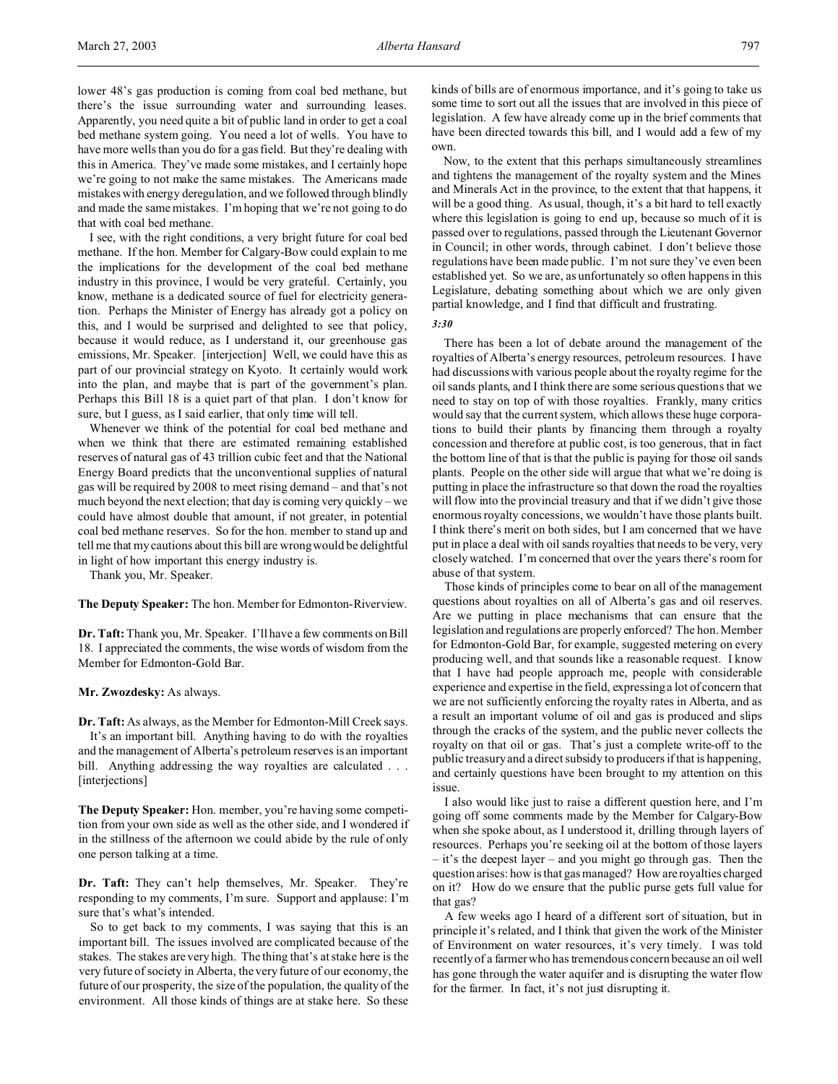lower 48's gas production is coming from coal bed methane, but there's the issue surrounding water and surrounding leases. Apparently, you need quite a bit of public land in order to get a coal bed methane system going. You need a lot of wells. You have to have more wells than you do for a gas field. But they're dealing with this in America. They've made some mistakes, and I certainly hope we're going to not make the same mistakes. The Americans made mistakes with energy deregulation, and we followed through blindly and made the same mistakes. I'm hoping that we're not going to do that with coal bed methane.

I see, with the right conditions, a very bright future for coal bed methane. If the hon. Member for Calgary-Bow could explain to me the implications for the development of the coal bed methane industry in this province, I would be very grateful. Certainly, you know, methane is a dedicated source of fuel for electricity generation. Perhaps the Minister of Energy has already got a policy on this, and I would be surprised and delighted to see that policy, because it would reduce, as I understand it, our greenhouse gas emissions, Mr. Speaker. [interjection] Well, we could have this as part of our provincial strategy on Kyoto. It certainly would work into the plan, and maybe that is part of the government's plan. Perhaps this Bill 18 is a quiet part of that plan. I don't know for sure, but I guess, as I said earlier, that only time will tell.

Whenever we think of the potential for coal bed methane and when we think that there are estimated remaining established reserves of natural gas of 43 trillion cubic feet and that the National Energy Board predicts that the unconventional supplies of natural gas will be required by 2008 to meet rising demand – and that's not much beyond the next election; that day is coming very quickly – we could have almost double that amount, if not greater, in potential coal bed methane reserves. So for the hon. member to stand up and tell me that my cautions about this bill are wrong would be delightful in light of how important this energy industry is.

Thank you, Mr. Speaker.

**The Deputy Speaker:** The hon. Member for Edmonton-Riverview.

**Dr. Taft:**Thank you, Mr. Speaker. I'll have a few comments on Bill 18. I appreciated the comments, the wise words of wisdom from the Member for Edmonton-Gold Bar.

**Mr. Zwozdesky:** As always.

**Dr. Taft:** As always, as the Member for Edmonton-Mill Creek says. It's an important bill. Anything having to do with the royalties and the management of Alberta's petroleum reserves is an important bill. Anything addressing the way royalties are calculated . . . [interjections]

**The Deputy Speaker:** Hon. member, you're having some competition from your own side as well as the other side, and I wondered if in the stillness of the afternoon we could abide by the rule of only one person talking at a time.

**Dr. Taft:** They can't help themselves, Mr. Speaker. They're responding to my comments, I'm sure. Support and applause: I'm sure that's what's intended.

So to get back to my comments, I was saying that this is an important bill. The issues involved are complicated because of the stakes. The stakes are very high. The thing that's at stake here is the very future of society in Alberta, the very future of our economy, the future of our prosperity, the size of the population, the quality of the environment. All those kinds of things are at stake here. So these

kinds of bills are of enormous importance, and it's going to take us some time to sort out all the issues that are involved in this piece of legislation. A few have already come up in the brief comments that have been directed towards this bill, and I would add a few of my own.

Now, to the extent that this perhaps simultaneously streamlines and tightens the management of the royalty system and the Mines and Minerals Act in the province, to the extent that that happens, it will be a good thing. As usual, though, it's a bit hard to tell exactly where this legislation is going to end up, because so much of it is passed over to regulations, passed through the Lieutenant Governor in Council; in other words, through cabinet. I don't believe those regulations have been made public. I'm not sure they've even been established yet. So we are, as unfortunately so often happens in this Legislature, debating something about which we are only given partial knowledge, and I find that difficult and frustrating.

*3:30*

There has been a lot of debate around the management of the royalties of Alberta's energy resources, petroleum resources. I have had discussions with various people about the royalty regime for the oil sands plants, and I think there are some serious questions that we need to stay on top of with those royalties. Frankly, many critics would say that the current system, which allows these huge corporations to build their plants by financing them through a royalty concession and therefore at public cost, is too generous, that in fact the bottom line of that is that the public is paying for those oil sands plants. People on the other side will argue that what we're doing is putting in place the infrastructure so that down the road the royalties will flow into the provincial treasury and that if we didn't give those enormous royalty concessions, we wouldn't have those plants built. I think there's merit on both sides, but I am concerned that we have put in place a deal with oil sands royalties that needs to be very, very closely watched. I'm concerned that over the years there's room for abuse of that system.

Those kinds of principles come to bear on all of the management questions about royalties on all of Alberta's gas and oil reserves. Are we putting in place mechanisms that can ensure that the legislation and regulations are properly enforced? The hon. Member for Edmonton-Gold Bar, for example, suggested metering on every producing well, and that sounds like a reasonable request. I know that I have had people approach me, people with considerable experience and expertise in the field, expressing a lot of concern that we are not sufficiently enforcing the royalty rates in Alberta, and as a result an important volume of oil and gas is produced and slips through the cracks of the system, and the public never collects the royalty on that oil or gas. That's just a complete write-off to the public treasury and a direct subsidy to producers if that is happening, and certainly questions have been brought to my attention on this issue.

I also would like just to raise a different question here, and I'm going off some comments made by the Member for Calgary-Bow when she spoke about, as I understood it, drilling through layers of resources. Perhaps you're seeking oil at the bottom of those layers – it's the deepest layer – and you might go through gas. Then the question arises: how is that gas managed? How are royalties charged on it? How do we ensure that the public purse gets full value for that gas?

A few weeks ago I heard of a different sort of situation, but in principle it's related, and I think that given the work of the Minister of Environment on water resources, it's very timely. I was told recently of a farmer who has tremendous concern because an oil well has gone through the water aquifer and is disrupting the water flow for the farmer. In fact, it's not just disrupting it.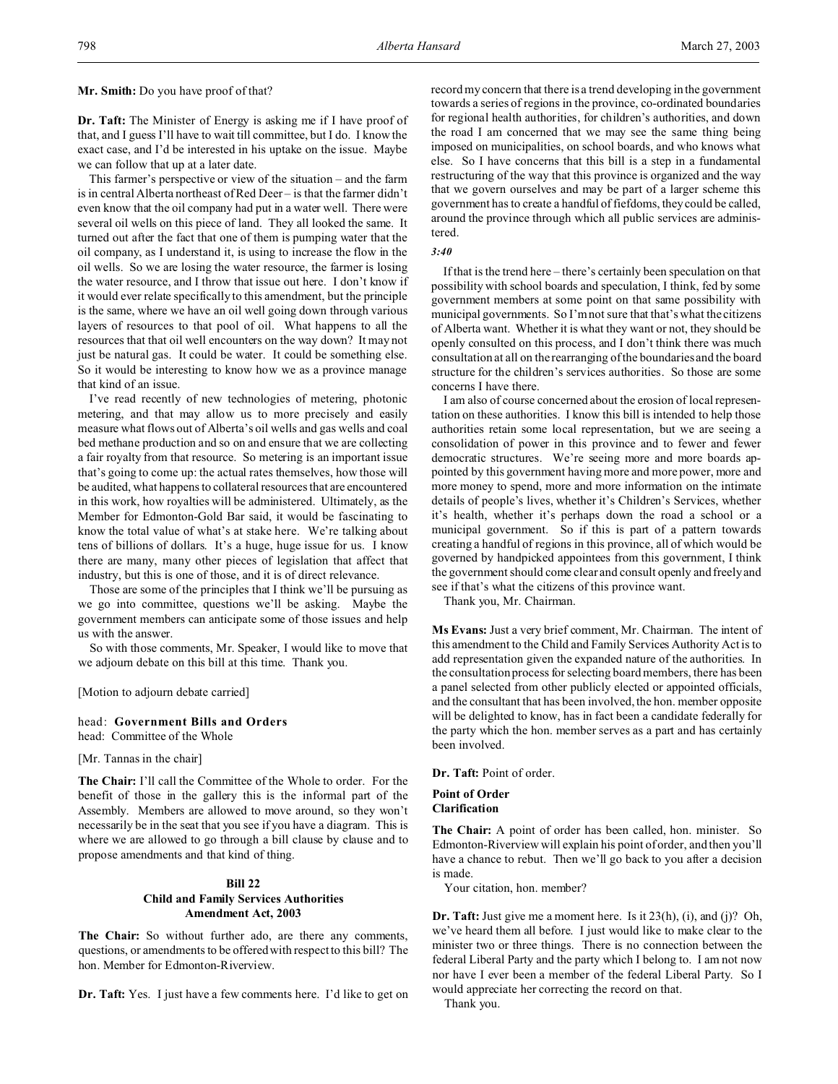**Mr. Smith:** Do you have proof of that?

**Dr. Taft:** The Minister of Energy is asking me if I have proof of that, and I guess I'll have to wait till committee, but I do. I know the exact case, and I'd be interested in his uptake on the issue. Maybe we can follow that up at a later date.

This farmer's perspective or view of the situation – and the farm is in central Alberta northeast of Red Deer – is that the farmer didn't even know that the oil company had put in a water well. There were several oil wells on this piece of land. They all looked the same. It turned out after the fact that one of them is pumping water that the oil company, as I understand it, is using to increase the flow in the oil wells. So we are losing the water resource, the farmer is losing the water resource, and I throw that issue out here. I don't know if it would ever relate specifically to this amendment, but the principle is the same, where we have an oil well going down through various layers of resources to that pool of oil. What happens to all the resources that that oil well encounters on the way down? It may not just be natural gas. It could be water. It could be something else. So it would be interesting to know how we as a province manage that kind of an issue.

I've read recently of new technologies of metering, photonic metering, and that may allow us to more precisely and easily measure what flows out of Alberta's oil wells and gas wells and coal bed methane production and so on and ensure that we are collecting a fair royalty from that resource. So metering is an important issue that's going to come up: the actual rates themselves, how those will be audited, what happens to collateral resources that are encountered in this work, how royalties will be administered. Ultimately, as the Member for Edmonton-Gold Bar said, it would be fascinating to know the total value of what's at stake here. We're talking about tens of billions of dollars. It's a huge, huge issue for us. I know there are many, many other pieces of legislation that affect that industry, but this is one of those, and it is of direct relevance.

Those are some of the principles that I think we'll be pursuing as we go into committee, questions we'll be asking. Maybe the government members can anticipate some of those issues and help us with the answer.

So with those comments, Mr. Speaker, I would like to move that we adjourn debate on this bill at this time. Thank you.

[Motion to adjourn debate carried]

head: **Government Bills and Orders** head: Committee of the Whole

[Mr. Tannas in the chair]

**The Chair:** I'll call the Committee of the Whole to order. For the benefit of those in the gallery this is the informal part of the Assembly. Members are allowed to move around, so they won't necessarily be in the seat that you see if you have a diagram. This is where we are allowed to go through a bill clause by clause and to propose amendments and that kind of thing.

## **Bill 22 Child and Family Services Authorities Amendment Act, 2003**

**The Chair:** So without further ado, are there any comments, questions, or amendments to be offered with respect to this bill? The hon. Member for Edmonton-Riverview.

**Dr. Taft:** Yes. I just have a few comments here. I'd like to get on

record my concern that there is a trend developing in the government towards a series of regions in the province, co-ordinated boundaries for regional health authorities, for children's authorities, and down the road I am concerned that we may see the same thing being imposed on municipalities, on school boards, and who knows what else. So I have concerns that this bill is a step in a fundamental restructuring of the way that this province is organized and the way that we govern ourselves and may be part of a larger scheme this government has to create a handful of fiefdoms, they could be called, around the province through which all public services are administered.

#### *3:40*

If that is the trend here – there's certainly been speculation on that possibility with school boards and speculation, I think, fed by some government members at some point on that same possibility with municipal governments. So I'm not sure that that's what the citizens of Alberta want. Whether it is what they want or not, they should be openly consulted on this process, and I don't think there was much consultation at all on the rearranging of the boundaries and the board structure for the children's services authorities. So those are some concerns I have there.

I am also of course concerned about the erosion of local representation on these authorities. I know this bill is intended to help those authorities retain some local representation, but we are seeing a consolidation of power in this province and to fewer and fewer democratic structures. We're seeing more and more boards appointed by this government having more and more power, more and more money to spend, more and more information on the intimate details of people's lives, whether it's Children's Services, whether it's health, whether it's perhaps down the road a school or a municipal government. So if this is part of a pattern towards creating a handful of regions in this province, all of which would be governed by handpicked appointees from this government, I think the government should come clear and consult openly and freely and see if that's what the citizens of this province want.

Thank you, Mr. Chairman.

**Ms Evans:** Just a very brief comment, Mr. Chairman. The intent of this amendment to the Child and Family Services Authority Act is to add representation given the expanded nature of the authorities. In the consultation process for selecting board members, there has been a panel selected from other publicly elected or appointed officials, and the consultant that has been involved, the hon. member opposite will be delighted to know, has in fact been a candidate federally for the party which the hon. member serves as a part and has certainly been involved.

**Dr. Taft:** Point of order.

**Point of Order Clarification**

**The Chair:** A point of order has been called, hon. minister. So Edmonton-Riverview will explain his point of order, and then you'll have a chance to rebut. Then we'll go back to you after a decision is made.

Your citation, hon. member?

**Dr. Taft:** Just give me a moment here. Is it 23(h), (i), and (j)? Oh, we've heard them all before. I just would like to make clear to the minister two or three things. There is no connection between the federal Liberal Party and the party which I belong to. I am not now nor have I ever been a member of the federal Liberal Party. So I would appreciate her correcting the record on that.

Thank you.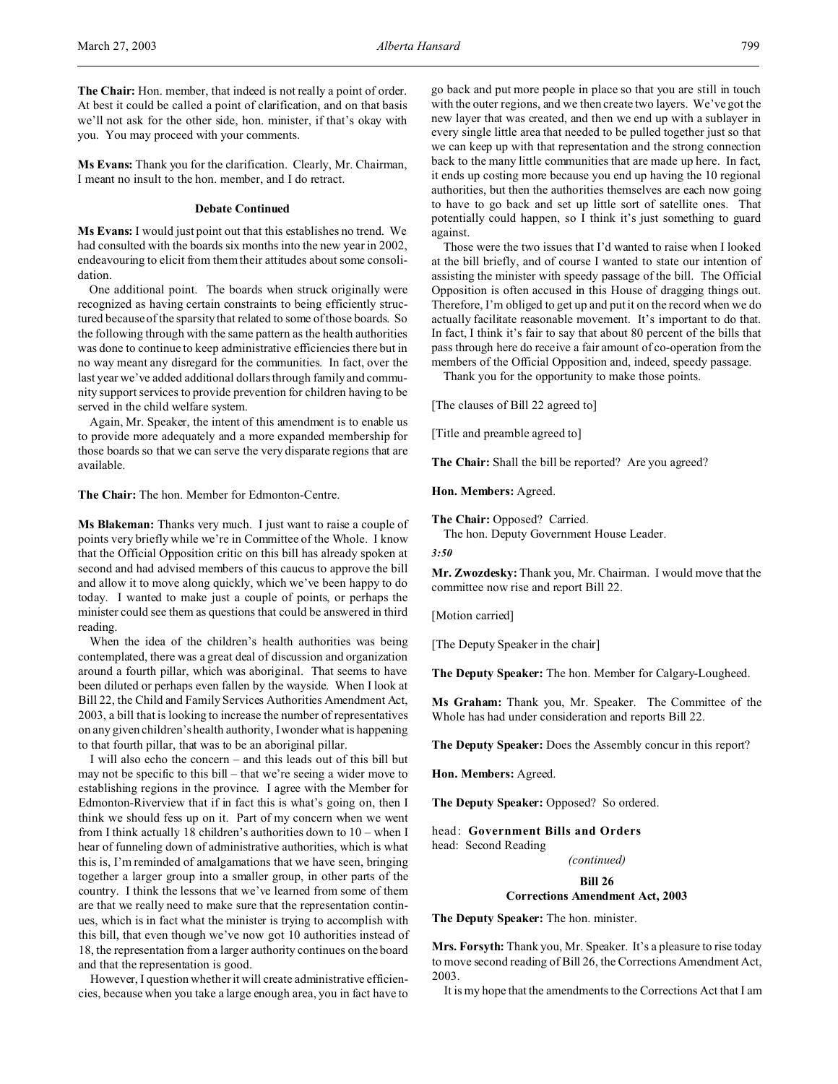**Ms Evans:** Thank you for the clarification. Clearly, Mr. Chairman, I meant no insult to the hon. member, and I do retract.

## **Debate Continued**

**Ms Evans:** I would just point out that this establishes no trend. We had consulted with the boards six months into the new year in 2002, endeavouring to elicit from them their attitudes about some consolidation.

One additional point. The boards when struck originally were recognized as having certain constraints to being efficiently structured because of the sparsity that related to some of those boards. So the following through with the same pattern as the health authorities was done to continue to keep administrative efficiencies there but in no way meant any disregard for the communities. In fact, over the last year we've added additional dollars through family and community support services to provide prevention for children having to be served in the child welfare system.

Again, Mr. Speaker, the intent of this amendment is to enable us to provide more adequately and a more expanded membership for those boards so that we can serve the very disparate regions that are available.

**The Chair:** The hon. Member for Edmonton-Centre.

**Ms Blakeman:** Thanks very much. I just want to raise a couple of points very briefly while we're in Committee of the Whole. I know that the Official Opposition critic on this bill has already spoken at second and had advised members of this caucus to approve the bill and allow it to move along quickly, which we've been happy to do today. I wanted to make just a couple of points, or perhaps the minister could see them as questions that could be answered in third reading.

When the idea of the children's health authorities was being contemplated, there was a great deal of discussion and organization around a fourth pillar, which was aboriginal. That seems to have been diluted or perhaps even fallen by the wayside. When I look at Bill 22, the Child and Family Services Authorities Amendment Act, 2003, a bill that is looking to increase the number of representatives on any given children's health authority, I wonder what is happening to that fourth pillar, that was to be an aboriginal pillar.

I will also echo the concern – and this leads out of this bill but may not be specific to this bill – that we're seeing a wider move to establishing regions in the province. I agree with the Member for Edmonton-Riverview that if in fact this is what's going on, then I think we should fess up on it. Part of my concern when we went from I think actually 18 children's authorities down to 10 – when I hear of funneling down of administrative authorities, which is what this is, I'm reminded of amalgamations that we have seen, bringing together a larger group into a smaller group, in other parts of the country. I think the lessons that we've learned from some of them are that we really need to make sure that the representation continues, which is in fact what the minister is trying to accomplish with this bill, that even though we've now got 10 authorities instead of 18, the representation from a larger authority continues on the board and that the representation is good.

However, I question whether it will create administrative efficiencies, because when you take a large enough area, you in fact have to go back and put more people in place so that you are still in touch with the outer regions, and we then create two layers. We've got the new layer that was created, and then we end up with a sublayer in every single little area that needed to be pulled together just so that we can keep up with that representation and the strong connection back to the many little communities that are made up here. In fact, it ends up costing more because you end up having the 10 regional authorities, but then the authorities themselves are each now going to have to go back and set up little sort of satellite ones. That potentially could happen, so I think it's just something to guard against.

Those were the two issues that I'd wanted to raise when I looked at the bill briefly, and of course I wanted to state our intention of assisting the minister with speedy passage of the bill. The Official Opposition is often accused in this House of dragging things out. Therefore, I'm obliged to get up and put it on the record when we do actually facilitate reasonable movement. It's important to do that. In fact, I think it's fair to say that about 80 percent of the bills that pass through here do receive a fair amount of co-operation from the members of the Official Opposition and, indeed, speedy passage.

Thank you for the opportunity to make those points.

[The clauses of Bill 22 agreed to]

[Title and preamble agreed to]

**The Chair:** Shall the bill be reported? Are you agreed?

**Hon. Members:** Agreed.

**The Chair:** Opposed? Carried.

The hon. Deputy Government House Leader.

*3:50*

**Mr. Zwozdesky:** Thank you, Mr. Chairman. I would move that the committee now rise and report Bill 22.

[Motion carried]

[The Deputy Speaker in the chair]

**The Deputy Speaker:** The hon. Member for Calgary-Lougheed.

**Ms Graham:** Thank you, Mr. Speaker. The Committee of the Whole has had under consideration and reports Bill 22.

**The Deputy Speaker:** Does the Assembly concur in this report?

**Hon. Members:** Agreed.

**The Deputy Speaker:** Opposed? So ordered.

head: **Government Bills and Orders** head: Second Reading

*(continued)*

**Bill 26**

## **Corrections Amendment Act, 2003**

**The Deputy Speaker:** The hon. minister.

**Mrs. Forsyth:** Thank you, Mr. Speaker. It's a pleasure to rise today to move second reading of Bill 26, the Corrections Amendment Act, 2003.

It is my hope that the amendments to the Corrections Act that I am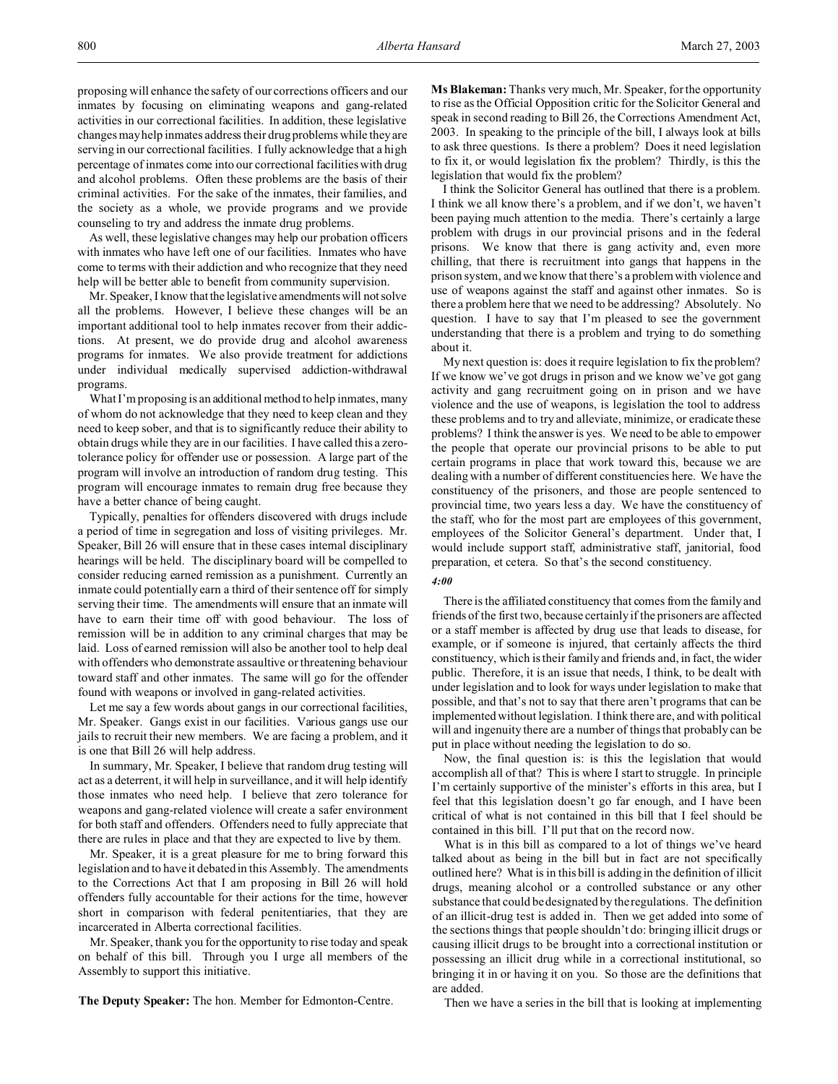proposing will enhance the safety of our corrections officers and our inmates by focusing on eliminating weapons and gang-related activities in our correctional facilities. In addition, these legislative changes may help inmates address their drug problems while they are serving in our correctional facilities. I fully acknowledge that a high percentage of inmates come into our correctional facilities with drug and alcohol problems. Often these problems are the basis of their criminal activities. For the sake of the inmates, their families, and the society as a whole, we provide programs and we provide counseling to try and address the inmate drug problems.

As well, these legislative changes may help our probation officers with inmates who have left one of our facilities. Inmates who have come to terms with their addiction and who recognize that they need help will be better able to benefit from community supervision.

Mr. Speaker, I know that the legislative amendments will not solve all the problems. However, I believe these changes will be an important additional tool to help inmates recover from their addictions. At present, we do provide drug and alcohol awareness programs for inmates. We also provide treatment for addictions under individual medically supervised addiction-withdrawal programs.

What I'm proposing is an additional method to help inmates, many of whom do not acknowledge that they need to keep clean and they need to keep sober, and that is to significantly reduce their ability to obtain drugs while they are in our facilities. I have called this a zerotolerance policy for offender use or possession. A large part of the program will involve an introduction of random drug testing. This program will encourage inmates to remain drug free because they have a better chance of being caught.

Typically, penalties for offenders discovered with drugs include a period of time in segregation and loss of visiting privileges. Mr. Speaker, Bill 26 will ensure that in these cases internal disciplinary hearings will be held. The disciplinary board will be compelled to consider reducing earned remission as a punishment. Currently an inmate could potentially earn a third of their sentence off for simply serving their time. The amendments will ensure that an inmate will have to earn their time off with good behaviour. The loss of remission will be in addition to any criminal charges that may be laid. Loss of earned remission will also be another tool to help deal with offenders who demonstrate assaultive or threatening behaviour toward staff and other inmates. The same will go for the offender found with weapons or involved in gang-related activities.

Let me say a few words about gangs in our correctional facilities, Mr. Speaker. Gangs exist in our facilities. Various gangs use our jails to recruit their new members. We are facing a problem, and it is one that Bill 26 will help address.

In summary, Mr. Speaker, I believe that random drug testing will act as a deterrent, it will help in surveillance, and it will help identify those inmates who need help. I believe that zero tolerance for weapons and gang-related violence will create a safer environment for both staff and offenders. Offenders need to fully appreciate that there are rules in place and that they are expected to live by them.

Mr. Speaker, it is a great pleasure for me to bring forward this legislation and to have it debated in this Assembly. The amendments to the Corrections Act that I am proposing in Bill 26 will hold offenders fully accountable for their actions for the time, however short in comparison with federal penitentiaries, that they are incarcerated in Alberta correctional facilities.

Mr. Speaker, thank you for the opportunity to rise today and speak on behalf of this bill. Through you I urge all members of the Assembly to support this initiative.

**The Deputy Speaker:** The hon. Member for Edmonton-Centre.

**Ms Blakeman:** Thanks very much, Mr. Speaker, for the opportunity to rise as the Official Opposition critic for the Solicitor General and speak in second reading to Bill 26, the Corrections Amendment Act, 2003. In speaking to the principle of the bill, I always look at bills to ask three questions. Is there a problem? Does it need legislation to fix it, or would legislation fix the problem? Thirdly, is this the legislation that would fix the problem?

I think the Solicitor General has outlined that there is a problem. I think we all know there's a problem, and if we don't, we haven't been paying much attention to the media. There's certainly a large problem with drugs in our provincial prisons and in the federal prisons. We know that there is gang activity and, even more chilling, that there is recruitment into gangs that happens in the prison system, and we know that there's a problem with violence and use of weapons against the staff and against other inmates. So is there a problem here that we need to be addressing? Absolutely. No question. I have to say that I'm pleased to see the government understanding that there is a problem and trying to do something about it.

My next question is: does it require legislation to fix the problem? If we know we've got drugs in prison and we know we've got gang activity and gang recruitment going on in prison and we have violence and the use of weapons, is legislation the tool to address these problems and to try and alleviate, minimize, or eradicate these problems? I think the answer is yes. We need to be able to empower the people that operate our provincial prisons to be able to put certain programs in place that work toward this, because we are dealing with a number of different constituencies here. We have the constituency of the prisoners, and those are people sentenced to provincial time, two years less a day. We have the constituency of the staff, who for the most part are employees of this government, employees of the Solicitor General's department. Under that, I would include support staff, administrative staff, janitorial, food preparation, et cetera. So that's the second constituency.

#### *4:00*

There is the affiliated constituency that comes from the family and friends of the first two, because certainly if the prisoners are affected or a staff member is affected by drug use that leads to disease, for example, or if someone is injured, that certainly affects the third constituency, which is their family and friends and, in fact, the wider public. Therefore, it is an issue that needs, I think, to be dealt with under legislation and to look for ways under legislation to make that possible, and that's not to say that there aren't programs that can be implemented without legislation. I think there are, and with political will and ingenuity there are a number of things that probably can be put in place without needing the legislation to do so.

Now, the final question is: is this the legislation that would accomplish all of that? This is where I start to struggle. In principle I'm certainly supportive of the minister's efforts in this area, but I feel that this legislation doesn't go far enough, and I have been critical of what is not contained in this bill that I feel should be contained in this bill. I'll put that on the record now.

What is in this bill as compared to a lot of things we've heard talked about as being in the bill but in fact are not specifically outlined here? What is in this bill is adding in the definition of illicit drugs, meaning alcohol or a controlled substance or any other substance that could be designated by the regulations. The definition of an illicit-drug test is added in. Then we get added into some of the sections things that people shouldn't do: bringing illicit drugs or causing illicit drugs to be brought into a correctional institution or possessing an illicit drug while in a correctional institutional, so bringing it in or having it on you. So those are the definitions that are added.

Then we have a series in the bill that is looking at implementing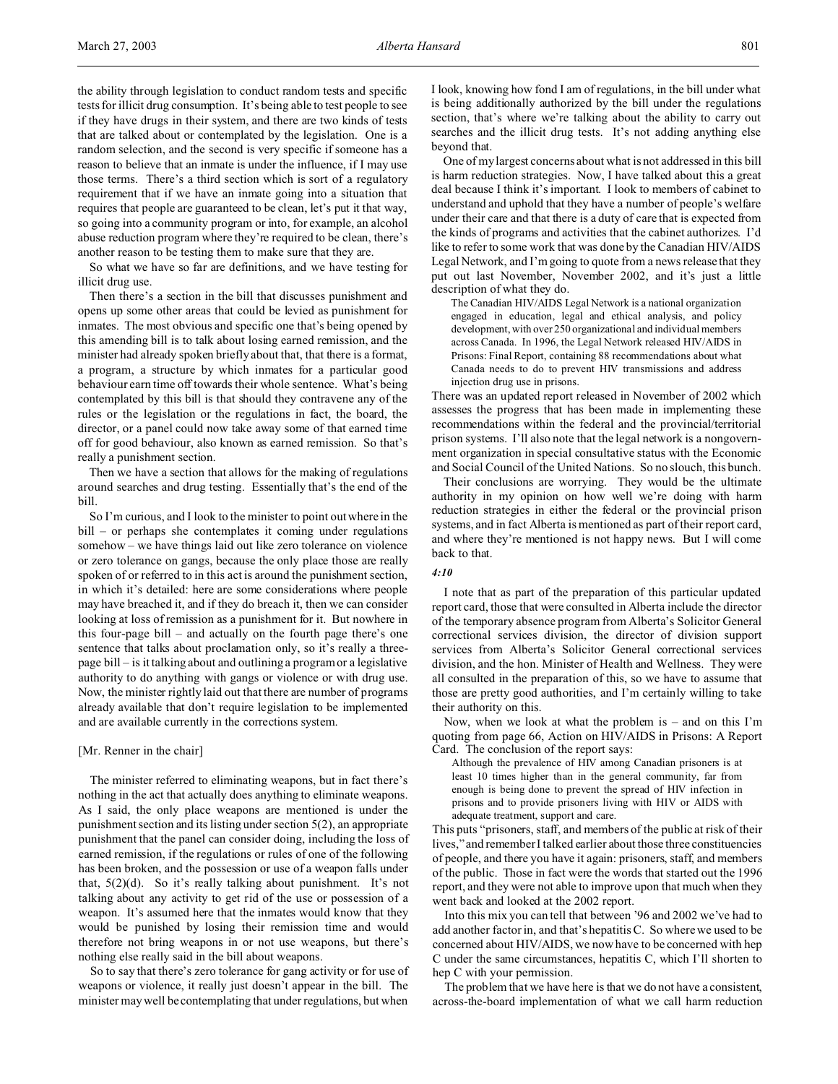the ability through legislation to conduct random tests and specific tests for illicit drug consumption. It's being able to test people to see if they have drugs in their system, and there are two kinds of tests that are talked about or contemplated by the legislation. One is a random selection, and the second is very specific if someone has a reason to believe that an inmate is under the influence, if I may use those terms. There's a third section which is sort of a regulatory requirement that if we have an inmate going into a situation that requires that people are guaranteed to be clean, let's put it that way, so going into a community program or into, for example, an alcohol abuse reduction program where they're required to be clean, there's another reason to be testing them to make sure that they are.

So what we have so far are definitions, and we have testing for illicit drug use.

Then there's a section in the bill that discusses punishment and opens up some other areas that could be levied as punishment for inmates. The most obvious and specific one that's being opened by this amending bill is to talk about losing earned remission, and the minister had already spoken briefly about that, that there is a format, a program, a structure by which inmates for a particular good behaviour earn time off towards their whole sentence. What's being contemplated by this bill is that should they contravene any of the rules or the legislation or the regulations in fact, the board, the director, or a panel could now take away some of that earned time off for good behaviour, also known as earned remission. So that's really a punishment section.

Then we have a section that allows for the making of regulations around searches and drug testing. Essentially that's the end of the bill.

So I'm curious, and I look to the minister to point out where in the bill – or perhaps she contemplates it coming under regulations somehow – we have things laid out like zero tolerance on violence or zero tolerance on gangs, because the only place those are really spoken of or referred to in this act is around the punishment section, in which it's detailed: here are some considerations where people may have breached it, and if they do breach it, then we can consider looking at loss of remission as a punishment for it. But nowhere in this four-page bill – and actually on the fourth page there's one sentence that talks about proclamation only, so it's really a threepage bill – is it talking about and outlining a program or a legislative authority to do anything with gangs or violence or with drug use. Now, the minister rightly laid out that there are number of programs already available that don't require legislation to be implemented and are available currently in the corrections system.

## [Mr. Renner in the chair]

The minister referred to eliminating weapons, but in fact there's nothing in the act that actually does anything to eliminate weapons. As I said, the only place weapons are mentioned is under the punishment section and its listing under section 5(2), an appropriate punishment that the panel can consider doing, including the loss of earned remission, if the regulations or rules of one of the following has been broken, and the possession or use of a weapon falls under that, 5(2)(d). So it's really talking about punishment. It's not talking about any activity to get rid of the use or possession of a weapon. It's assumed here that the inmates would know that they would be punished by losing their remission time and would therefore not bring weapons in or not use weapons, but there's nothing else really said in the bill about weapons.

So to say that there's zero tolerance for gang activity or for use of weapons or violence, it really just doesn't appear in the bill. The minister may well be contemplating that under regulations, but when

I look, knowing how fond I am of regulations, in the bill under what is being additionally authorized by the bill under the regulations section, that's where we're talking about the ability to carry out searches and the illicit drug tests. It's not adding anything else beyond that.

One of my largest concerns about what is not addressed in this bill is harm reduction strategies. Now, I have talked about this a great deal because I think it's important. I look to members of cabinet to understand and uphold that they have a number of people's welfare under their care and that there is a duty of care that is expected from the kinds of programs and activities that the cabinet authorizes. I'd like to refer to some work that was done by the Canadian HIV/AIDS Legal Network, and I'm going to quote from a news release that they put out last November, November 2002, and it's just a little description of what they do.

The Canadian HIV/AIDS Legal Network is a national organization engaged in education, legal and ethical analysis, and policy development, with over 250 organizational and individual members across Canada. In 1996, the Legal Network released HIV/AIDS in Prisons: Final Report, containing 88 recommendations about what Canada needs to do to prevent HIV transmissions and address injection drug use in prisons.

There was an updated report released in November of 2002 which assesses the progress that has been made in implementing these recommendations within the federal and the provincial/territorial prison systems. I'll also note that the legal network is a nongovernment organization in special consultative status with the Economic and Social Council of the United Nations. So no slouch, this bunch.

Their conclusions are worrying. They would be the ultimate authority in my opinion on how well we're doing with harm reduction strategies in either the federal or the provincial prison systems, and in fact Alberta is mentioned as part of their report card, and where they're mentioned is not happy news. But I will come back to that.

### *4:10*

I note that as part of the preparation of this particular updated report card, those that were consulted in Alberta include the director of the temporary absence program from Alberta's Solicitor General correctional services division, the director of division support services from Alberta's Solicitor General correctional services division, and the hon. Minister of Health and Wellness. They were all consulted in the preparation of this, so we have to assume that those are pretty good authorities, and I'm certainly willing to take their authority on this.

Now, when we look at what the problem is – and on this I'm quoting from page 66, Action on HIV/AIDS in Prisons: A Report Card. The conclusion of the report says:

Although the prevalence of HIV among Canadian prisoners is at least 10 times higher than in the general community, far from enough is being done to prevent the spread of HIV infection in prisons and to provide prisoners living with HIV or AIDS with adequate treatment, support and care.

This puts "prisoners, staff, and members of the public at risk of their lives," and remember I talked earlier about those three constituencies of people, and there you have it again: prisoners, staff, and members of the public. Those in fact were the words that started out the 1996 report, and they were not able to improve upon that much when they went back and looked at the 2002 report.

Into this mix you can tell that between '96 and 2002 we've had to add another factor in, and that's hepatitis C. So where we used to be concerned about HIV/AIDS, we now have to be concerned with hep C under the same circumstances, hepatitis C, which I'll shorten to hep C with your permission.

The problem that we have here is that we do not have a consistent, across-the-board implementation of what we call harm reduction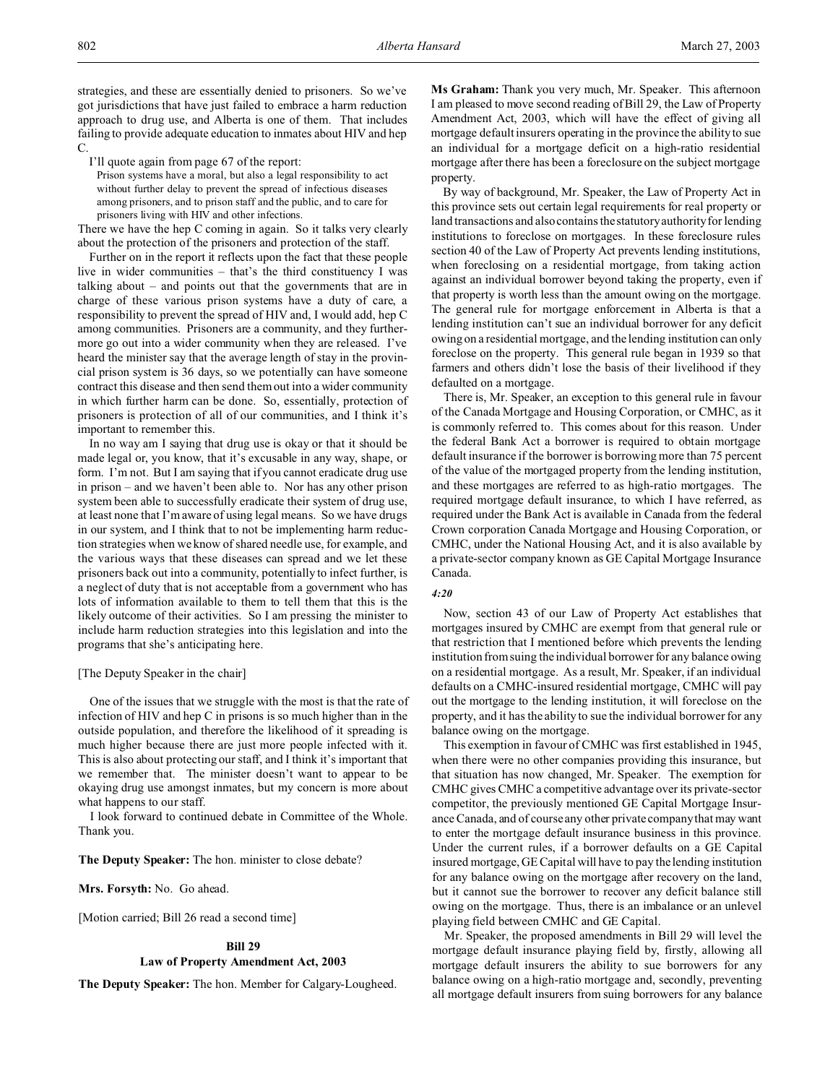strategies, and these are essentially denied to prisoners. So we've got jurisdictions that have just failed to embrace a harm reduction approach to drug use, and Alberta is one of them. That includes failing to provide adequate education to inmates about HIV and hep  $\mathcal{C}$ 

I'll quote again from page 67 of the report:

Prison systems have a moral, but also a legal responsibility to act without further delay to prevent the spread of infectious diseases among prisoners, and to prison staff and the public, and to care for prisoners living with HIV and other infections.

There we have the hep C coming in again. So it talks very clearly about the protection of the prisoners and protection of the staff.

Further on in the report it reflects upon the fact that these people live in wider communities – that's the third constituency I was talking about – and points out that the governments that are in charge of these various prison systems have a duty of care, a responsibility to prevent the spread of HIV and, I would add, hep C among communities. Prisoners are a community, and they furthermore go out into a wider community when they are released. I've heard the minister say that the average length of stay in the provincial prison system is 36 days, so we potentially can have someone contract this disease and then send them out into a wider community in which further harm can be done. So, essentially, protection of prisoners is protection of all of our communities, and I think it's important to remember this.

In no way am I saying that drug use is okay or that it should be made legal or, you know, that it's excusable in any way, shape, or form. I'm not. But I am saying that if you cannot eradicate drug use in prison – and we haven't been able to. Nor has any other prison system been able to successfully eradicate their system of drug use, at least none that I'm aware of using legal means. So we have drugs in our system, and I think that to not be implementing harm reduction strategies when we know of shared needle use, for example, and the various ways that these diseases can spread and we let these prisoners back out into a community, potentially to infect further, is a neglect of duty that is not acceptable from a government who has lots of information available to them to tell them that this is the likely outcome of their activities. So I am pressing the minister to include harm reduction strategies into this legislation and into the programs that she's anticipating here.

#### [The Deputy Speaker in the chair]

One of the issues that we struggle with the most is that the rate of infection of HIV and hep C in prisons is so much higher than in the outside population, and therefore the likelihood of it spreading is much higher because there are just more people infected with it. This is also about protecting our staff, and I think it's important that we remember that. The minister doesn't want to appear to be okaying drug use amongst inmates, but my concern is more about what happens to our staff.

I look forward to continued debate in Committee of the Whole. Thank you.

**The Deputy Speaker:** The hon. minister to close debate?

**Mrs. Forsyth:** No. Go ahead.

[Motion carried; Bill 26 read a second time]

#### **Bill 29**

### **Law of Property Amendment Act, 2003**

**The Deputy Speaker:** The hon. Member for Calgary-Lougheed.

**Ms Graham:** Thank you very much, Mr. Speaker. This afternoon I am pleased to move second reading of Bill 29, the Law of Property Amendment Act, 2003, which will have the effect of giving all mortgage default insurers operating in the province the ability to sue an individual for a mortgage deficit on a high-ratio residential mortgage after there has been a foreclosure on the subject mortgage property.

By way of background, Mr. Speaker, the Law of Property Act in this province sets out certain legal requirements for real property or land transactions and also contains the statutory authority for lending institutions to foreclose on mortgages. In these foreclosure rules section 40 of the Law of Property Act prevents lending institutions, when foreclosing on a residential mortgage, from taking action against an individual borrower beyond taking the property, even if that property is worth less than the amount owing on the mortgage. The general rule for mortgage enforcement in Alberta is that a lending institution can't sue an individual borrower for any deficit owing on a residential mortgage, and the lending institution can only foreclose on the property. This general rule began in 1939 so that farmers and others didn't lose the basis of their livelihood if they defaulted on a mortgage.

There is, Mr. Speaker, an exception to this general rule in favour of the Canada Mortgage and Housing Corporation, or CMHC, as it is commonly referred to. This comes about for this reason. Under the federal Bank Act a borrower is required to obtain mortgage default insurance if the borrower is borrowing more than 75 percent of the value of the mortgaged property from the lending institution, and these mortgages are referred to as high-ratio mortgages. The required mortgage default insurance, to which I have referred, as required under the Bank Act is available in Canada from the federal Crown corporation Canada Mortgage and Housing Corporation, or CMHC, under the National Housing Act, and it is also available by a private-sector company known as GE Capital Mortgage Insurance Canada.

### *4:20*

Now, section 43 of our Law of Property Act establishes that mortgages insured by CMHC are exempt from that general rule or that restriction that I mentioned before which prevents the lending institution from suing the individual borrower for any balance owing on a residential mortgage. As a result, Mr. Speaker, if an individual defaults on a CMHC-insured residential mortgage, CMHC will pay out the mortgage to the lending institution, it will foreclose on the property, and it has the ability to sue the individual borrower for any balance owing on the mortgage.

This exemption in favour of CMHC was first established in 1945, when there were no other companies providing this insurance, but that situation has now changed, Mr. Speaker. The exemption for CMHC gives CMHC a competitive advantage over its private-sector competitor, the previously mentioned GE Capital Mortgage Insurance Canada, and of course any other private company that may want to enter the mortgage default insurance business in this province. Under the current rules, if a borrower defaults on a GE Capital insured mortgage, GE Capital will have to pay the lending institution for any balance owing on the mortgage after recovery on the land, but it cannot sue the borrower to recover any deficit balance still owing on the mortgage. Thus, there is an imbalance or an unlevel playing field between CMHC and GE Capital.

Mr. Speaker, the proposed amendments in Bill 29 will level the mortgage default insurance playing field by, firstly, allowing all mortgage default insurers the ability to sue borrowers for any balance owing on a high-ratio mortgage and, secondly, preventing all mortgage default insurers from suing borrowers for any balance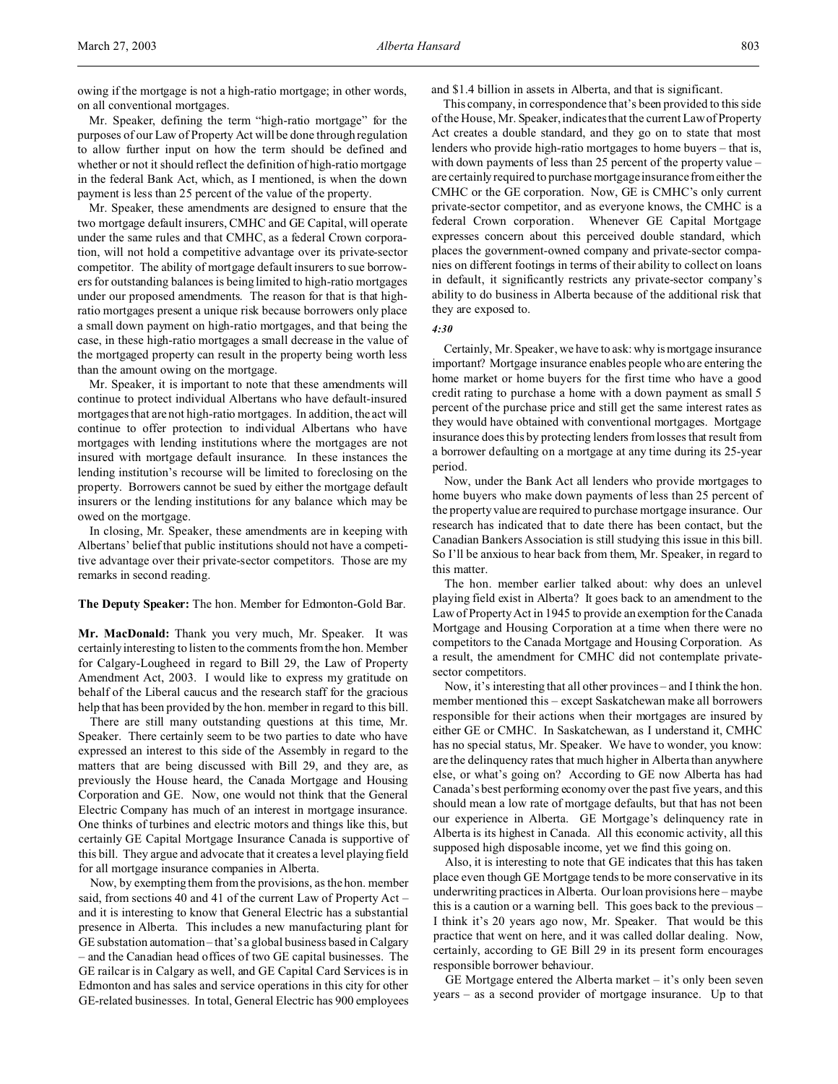Mr. Speaker, defining the term "high-ratio mortgage" for the purposes of our Law of Property Act will be done through regulation to allow further input on how the term should be defined and whether or not it should reflect the definition of high-ratio mortgage in the federal Bank Act, which, as I mentioned, is when the down payment is less than 25 percent of the value of the property.

Mr. Speaker, these amendments are designed to ensure that the two mortgage default insurers, CMHC and GE Capital, will operate under the same rules and that CMHC, as a federal Crown corporation, will not hold a competitive advantage over its private-sector competitor. The ability of mortgage default insurers to sue borrowers for outstanding balances is being limited to high-ratio mortgages under our proposed amendments. The reason for that is that highratio mortgages present a unique risk because borrowers only place a small down payment on high-ratio mortgages, and that being the case, in these high-ratio mortgages a small decrease in the value of the mortgaged property can result in the property being worth less than the amount owing on the mortgage.

Mr. Speaker, it is important to note that these amendments will continue to protect individual Albertans who have default-insured mortgages that are not high-ratio mortgages. In addition, the act will continue to offer protection to individual Albertans who have mortgages with lending institutions where the mortgages are not insured with mortgage default insurance. In these instances the lending institution's recourse will be limited to foreclosing on the property. Borrowers cannot be sued by either the mortgage default insurers or the lending institutions for any balance which may be owed on the mortgage.

In closing, Mr. Speaker, these amendments are in keeping with Albertans' belief that public institutions should not have a competitive advantage over their private-sector competitors. Those are my remarks in second reading.

#### **The Deputy Speaker:** The hon. Member for Edmonton-Gold Bar.

**Mr. MacDonald:** Thank you very much, Mr. Speaker. It was certainly interesting to listen to the comments from the hon. Member for Calgary-Lougheed in regard to Bill 29, the Law of Property Amendment Act, 2003. I would like to express my gratitude on behalf of the Liberal caucus and the research staff for the gracious help that has been provided by the hon. member in regard to this bill.

There are still many outstanding questions at this time, Mr. Speaker. There certainly seem to be two parties to date who have expressed an interest to this side of the Assembly in regard to the matters that are being discussed with Bill 29, and they are, as previously the House heard, the Canada Mortgage and Housing Corporation and GE. Now, one would not think that the General Electric Company has much of an interest in mortgage insurance. One thinks of turbines and electric motors and things like this, but certainly GE Capital Mortgage Insurance Canada is supportive of this bill. They argue and advocate that it creates a level playing field for all mortgage insurance companies in Alberta.

Now, by exempting them from the provisions, as the hon. member said, from sections 40 and 41 of the current Law of Property Act – and it is interesting to know that General Electric has a substantial presence in Alberta. This includes a new manufacturing plant for GE substation automation – that's a global business based in Calgary – and the Canadian head offices of two GE capital businesses. The GE railcar is in Calgary as well, and GE Capital Card Services is in Edmonton and has sales and service operations in this city for other GE-related businesses. In total, General Electric has 900 employees

and \$1.4 billion in assets in Alberta, and that is significant.

This company, in correspondence that's been provided to this side of the House, Mr. Speaker, indicates that the current Law of Property Act creates a double standard, and they go on to state that most lenders who provide high-ratio mortgages to home buyers – that is, with down payments of less than 25 percent of the property value – are certainly required to purchase mortgage insurance from either the CMHC or the GE corporation. Now, GE is CMHC's only current private-sector competitor, and as everyone knows, the CMHC is a federal Crown corporation. Whenever GE Capital Mortgage expresses concern about this perceived double standard, which places the government-owned company and private-sector companies on different footings in terms of their ability to collect on loans in default, it significantly restricts any private-sector company's ability to do business in Alberta because of the additional risk that they are exposed to.

*4:30*

Certainly, Mr. Speaker, we have to ask: why is mortgage insurance important? Mortgage insurance enables people who are entering the home market or home buyers for the first time who have a good credit rating to purchase a home with a down payment as small 5 percent of the purchase price and still get the same interest rates as they would have obtained with conventional mortgages. Mortgage insurance does this by protecting lenders from losses that result from a borrower defaulting on a mortgage at any time during its 25-year period.

Now, under the Bank Act all lenders who provide mortgages to home buyers who make down payments of less than 25 percent of the property value are required to purchase mortgage insurance. Our research has indicated that to date there has been contact, but the Canadian Bankers Association is still studying this issue in this bill. So I'll be anxious to hear back from them, Mr. Speaker, in regard to this matter.

The hon. member earlier talked about: why does an unlevel playing field exist in Alberta? It goes back to an amendment to the Law of Property Act in 1945 to provide an exemption for the Canada Mortgage and Housing Corporation at a time when there were no competitors to the Canada Mortgage and Housing Corporation. As a result, the amendment for CMHC did not contemplate privatesector competitors.

Now, it's interesting that all other provinces – and I think the hon. member mentioned this – except Saskatchewan make all borrowers responsible for their actions when their mortgages are insured by either GE or CMHC. In Saskatchewan, as I understand it, CMHC has no special status, Mr. Speaker. We have to wonder, you know: are the delinquency rates that much higher in Alberta than anywhere else, or what's going on? According to GE now Alberta has had Canada's best performing economy over the past five years, and this should mean a low rate of mortgage defaults, but that has not been our experience in Alberta. GE Mortgage's delinquency rate in Alberta is its highest in Canada. All this economic activity, all this supposed high disposable income, yet we find this going on.

Also, it is interesting to note that GE indicates that this has taken place even though GE Mortgage tends to be more conservative in its underwriting practices in Alberta. Our loan provisions here – maybe this is a caution or a warning bell. This goes back to the previous – I think it's 20 years ago now, Mr. Speaker. That would be this practice that went on here, and it was called dollar dealing. Now, certainly, according to GE Bill 29 in its present form encourages responsible borrower behaviour.

GE Mortgage entered the Alberta market – it's only been seven years – as a second provider of mortgage insurance. Up to that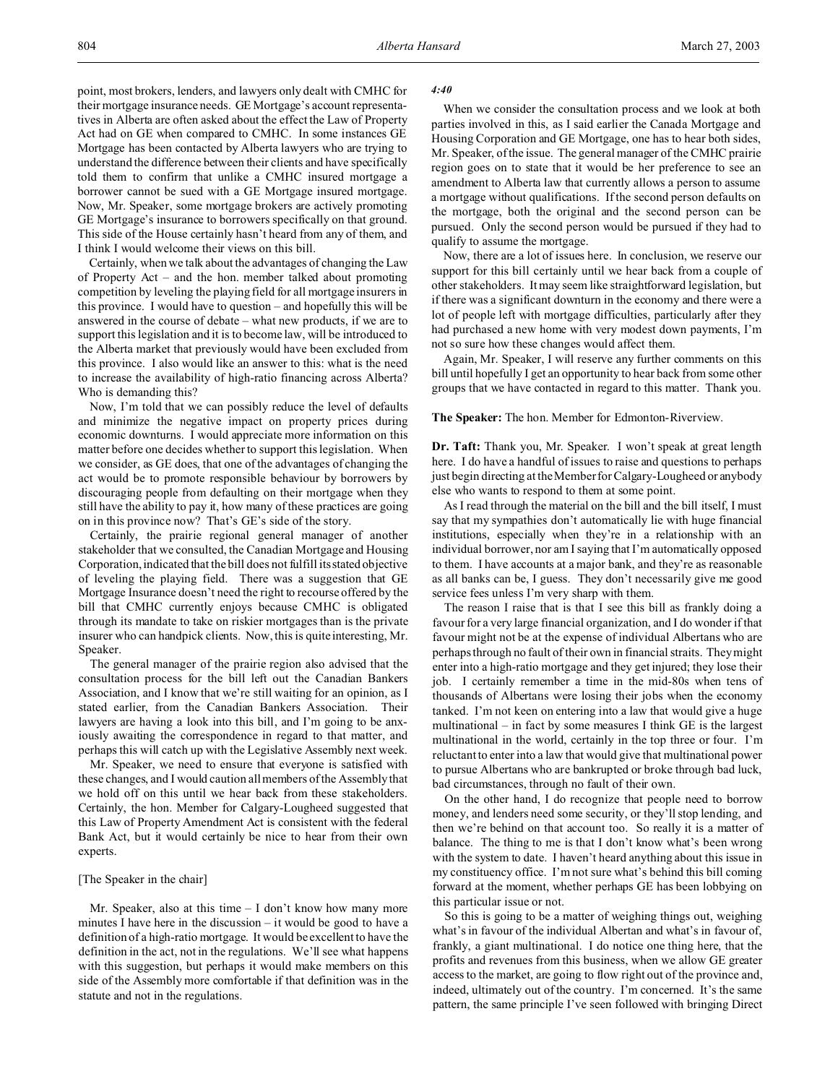point, most brokers, lenders, and lawyers only dealt with CMHC for their mortgage insurance needs. GE Mortgage's account representatives in Alberta are often asked about the effect the Law of Property Act had on GE when compared to CMHC. In some instances GE Mortgage has been contacted by Alberta lawyers who are trying to understand the difference between their clients and have specifically told them to confirm that unlike a CMHC insured mortgage a borrower cannot be sued with a GE Mortgage insured mortgage. Now, Mr. Speaker, some mortgage brokers are actively promoting GE Mortgage's insurance to borrowers specifically on that ground. This side of the House certainly hasn't heard from any of them, and I think I would welcome their views on this bill.

Certainly, when we talk about the advantages of changing the Law of Property Act – and the hon. member talked about promoting competition by leveling the playing field for all mortgage insurers in this province. I would have to question – and hopefully this will be answered in the course of debate – what new products, if we are to support this legislation and it is to become law, will be introduced to the Alberta market that previously would have been excluded from this province. I also would like an answer to this: what is the need to increase the availability of high-ratio financing across Alberta? Who is demanding this?

Now, I'm told that we can possibly reduce the level of defaults and minimize the negative impact on property prices during economic downturns. I would appreciate more information on this matter before one decides whether to support this legislation. When we consider, as GE does, that one of the advantages of changing the act would be to promote responsible behaviour by borrowers by discouraging people from defaulting on their mortgage when they still have the ability to pay it, how many of these practices are going on in this province now? That's GE's side of the story.

Certainly, the prairie regional general manager of another stakeholder that we consulted, the Canadian Mortgage and Housing Corporation, indicated that the bill does not fulfill its stated objective of leveling the playing field. There was a suggestion that GE Mortgage Insurance doesn't need the right to recourse offered by the bill that CMHC currently enjoys because CMHC is obligated through its mandate to take on riskier mortgages than is the private insurer who can handpick clients. Now, this is quite interesting, Mr. Speaker.

The general manager of the prairie region also advised that the consultation process for the bill left out the Canadian Bankers Association, and I know that we're still waiting for an opinion, as I stated earlier, from the Canadian Bankers Association. Their lawyers are having a look into this bill, and I'm going to be anxiously awaiting the correspondence in regard to that matter, and perhaps this will catch up with the Legislative Assembly next week.

Mr. Speaker, we need to ensure that everyone is satisfied with these changes, and I would caution all members of the Assembly that we hold off on this until we hear back from these stakeholders. Certainly, the hon. Member for Calgary-Lougheed suggested that this Law of Property Amendment Act is consistent with the federal Bank Act, but it would certainly be nice to hear from their own experts.

### [The Speaker in the chair]

Mr. Speaker, also at this time – I don't know how many more minutes I have here in the discussion – it would be good to have a definition of a high-ratio mortgage. It would be excellent to have the definition in the act, not in the regulations. We'll see what happens with this suggestion, but perhaps it would make members on this side of the Assembly more comfortable if that definition was in the statute and not in the regulations.

## *4:40*

When we consider the consultation process and we look at both parties involved in this, as I said earlier the Canada Mortgage and Housing Corporation and GE Mortgage, one has to hear both sides, Mr. Speaker, of the issue. The general manager of the CMHC prairie region goes on to state that it would be her preference to see an amendment to Alberta law that currently allows a person to assume a mortgage without qualifications. If the second person defaults on the mortgage, both the original and the second person can be pursued. Only the second person would be pursued if they had to qualify to assume the mortgage.

Now, there are a lot of issues here. In conclusion, we reserve our support for this bill certainly until we hear back from a couple of other stakeholders. It may seem like straightforward legislation, but if there was a significant downturn in the economy and there were a lot of people left with mortgage difficulties, particularly after they had purchased a new home with very modest down payments, I'm not so sure how these changes would affect them.

Again, Mr. Speaker, I will reserve any further comments on this bill until hopefully I get an opportunity to hear back from some other groups that we have contacted in regard to this matter. Thank you.

**The Speaker:** The hon. Member for Edmonton-Riverview.

**Dr. Taft:** Thank you, Mr. Speaker. I won't speak at great length here. I do have a handful of issues to raise and questions to perhaps just begin directing at the Member for Calgary-Lougheed or anybody else who wants to respond to them at some point.

As I read through the material on the bill and the bill itself, I must say that my sympathies don't automatically lie with huge financial institutions, especially when they're in a relationship with an individual borrower, nor am I saying that I'm automatically opposed to them. I have accounts at a major bank, and they're as reasonable as all banks can be, I guess. They don't necessarily give me good service fees unless I'm very sharp with them.

The reason I raise that is that I see this bill as frankly doing a favour for a very large financial organization, and I do wonder if that favour might not be at the expense of individual Albertans who are perhaps through no fault of their own in financial straits. They might enter into a high-ratio mortgage and they get injured; they lose their job. I certainly remember a time in the mid-80s when tens of thousands of Albertans were losing their jobs when the economy tanked. I'm not keen on entering into a law that would give a huge multinational – in fact by some measures I think GE is the largest multinational in the world, certainly in the top three or four. I'm reluctant to enter into a law that would give that multinational power to pursue Albertans who are bankrupted or broke through bad luck, bad circumstances, through no fault of their own.

On the other hand, I do recognize that people need to borrow money, and lenders need some security, or they'll stop lending, and then we're behind on that account too. So really it is a matter of balance. The thing to me is that I don't know what's been wrong with the system to date. I haven't heard anything about this issue in my constituency office. I'm not sure what's behind this bill coming forward at the moment, whether perhaps GE has been lobbying on this particular issue or not.

So this is going to be a matter of weighing things out, weighing what's in favour of the individual Albertan and what's in favour of, frankly, a giant multinational. I do notice one thing here, that the profits and revenues from this business, when we allow GE greater access to the market, are going to flow right out of the province and, indeed, ultimately out of the country. I'm concerned. It's the same pattern, the same principle I've seen followed with bringing Direct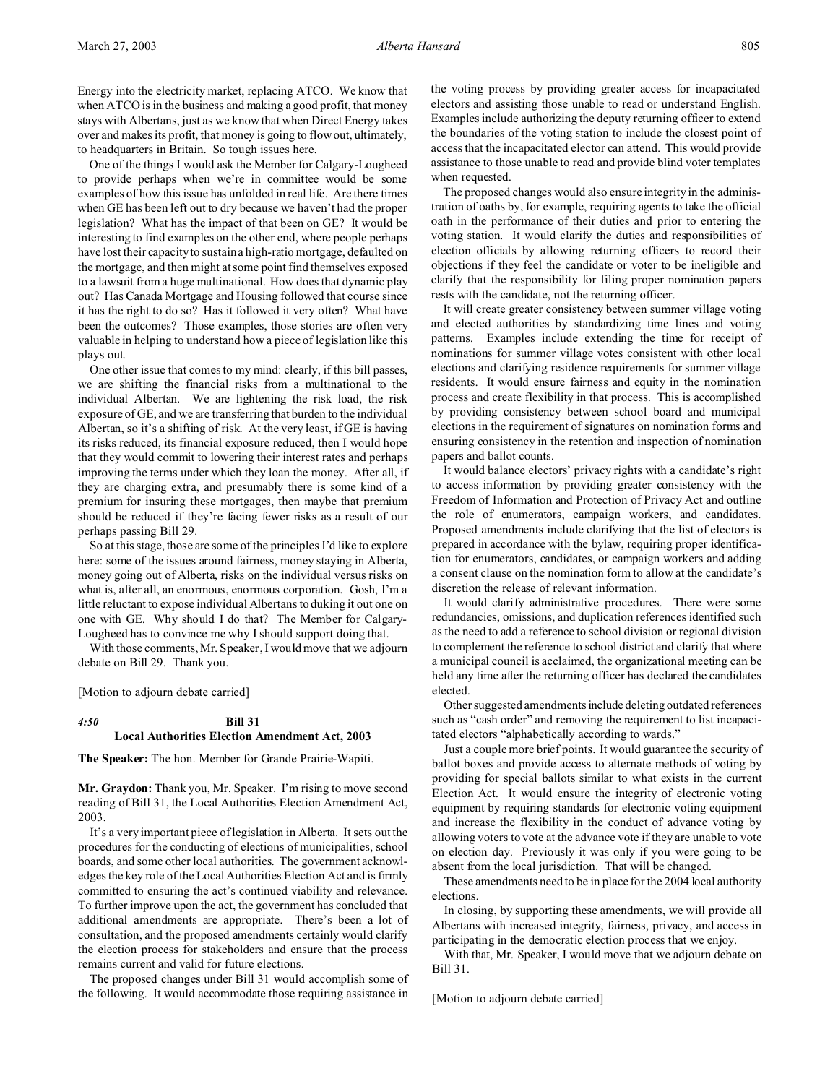Energy into the electricity market, replacing ATCO. We know that when ATCO is in the business and making a good profit, that money stays with Albertans, just as we know that when Direct Energy takes over and makes its profit, that money is going to flow out, ultimately, to headquarters in Britain. So tough issues here.

One of the things I would ask the Member for Calgary-Lougheed to provide perhaps when we're in committee would be some examples of how this issue has unfolded in real life. Are there times when GE has been left out to dry because we haven't had the proper legislation? What has the impact of that been on GE? It would be interesting to find examples on the other end, where people perhaps have lost their capacity to sustain a high-ratio mortgage, defaulted on the mortgage, and then might at some point find themselves exposed to a lawsuit from a huge multinational. How does that dynamic play out? Has Canada Mortgage and Housing followed that course since it has the right to do so? Has it followed it very often? What have been the outcomes? Those examples, those stories are often very valuable in helping to understand how a piece of legislation like this plays out.

One other issue that comes to my mind: clearly, if this bill passes, we are shifting the financial risks from a multinational to the individual Albertan. We are lightening the risk load, the risk exposure of GE, and we are transferring that burden to the individual Albertan, so it's a shifting of risk. At the very least, if GE is having its risks reduced, its financial exposure reduced, then I would hope that they would commit to lowering their interest rates and perhaps improving the terms under which they loan the money. After all, if they are charging extra, and presumably there is some kind of a premium for insuring these mortgages, then maybe that premium should be reduced if they're facing fewer risks as a result of our perhaps passing Bill 29.

So at this stage, those are some of the principles I'd like to explore here: some of the issues around fairness, money staying in Alberta, money going out of Alberta, risks on the individual versus risks on what is, after all, an enormous, enormous corporation. Gosh, I'm a little reluctant to expose individual Albertans to duking it out one on one with GE. Why should I do that? The Member for Calgary-Lougheed has to convince me why I should support doing that.

With those comments, Mr. Speaker, I would move that we adjourn debate on Bill 29. Thank you.

[Motion to adjourn debate carried]

# *4:50* **Bill 31 Local Authorities Election Amendment Act, 2003**

**The Speaker:** The hon. Member for Grande Prairie-Wapiti.

**Mr. Graydon:** Thank you, Mr. Speaker. I'm rising to move second reading of Bill 31, the Local Authorities Election Amendment Act, 2003.

It's a very important piece of legislation in Alberta. It sets out the procedures for the conducting of elections of municipalities, school boards, and some other local authorities. The government acknowledges the key role of the Local Authorities Election Act and is firmly committed to ensuring the act's continued viability and relevance. To further improve upon the act, the government has concluded that additional amendments are appropriate. There's been a lot of consultation, and the proposed amendments certainly would clarify the election process for stakeholders and ensure that the process remains current and valid for future elections.

The proposed changes under Bill 31 would accomplish some of the following. It would accommodate those requiring assistance in

the voting process by providing greater access for incapacitated electors and assisting those unable to read or understand English. Examples include authorizing the deputy returning officer to extend the boundaries of the voting station to include the closest point of access that the incapacitated elector can attend. This would provide assistance to those unable to read and provide blind voter templates when requested.

The proposed changes would also ensure integrity in the administration of oaths by, for example, requiring agents to take the official oath in the performance of their duties and prior to entering the voting station. It would clarify the duties and responsibilities of election officials by allowing returning officers to record their objections if they feel the candidate or voter to be ineligible and clarify that the responsibility for filing proper nomination papers rests with the candidate, not the returning officer.

It will create greater consistency between summer village voting and elected authorities by standardizing time lines and voting patterns. Examples include extending the time for receipt of nominations for summer village votes consistent with other local elections and clarifying residence requirements for summer village residents. It would ensure fairness and equity in the nomination process and create flexibility in that process. This is accomplished by providing consistency between school board and municipal elections in the requirement of signatures on nomination forms and ensuring consistency in the retention and inspection of nomination papers and ballot counts.

It would balance electors' privacy rights with a candidate's right to access information by providing greater consistency with the Freedom of Information and Protection of Privacy Act and outline the role of enumerators, campaign workers, and candidates. Proposed amendments include clarifying that the list of electors is prepared in accordance with the bylaw, requiring proper identification for enumerators, candidates, or campaign workers and adding a consent clause on the nomination form to allow at the candidate's discretion the release of relevant information.

It would clarify administrative procedures. There were some redundancies, omissions, and duplication references identified such as the need to add a reference to school division or regional division to complement the reference to school district and clarify that where a municipal council is acclaimed, the organizational meeting can be held any time after the returning officer has declared the candidates elected.

Other suggested amendments include deleting outdated references such as "cash order" and removing the requirement to list incapacitated electors "alphabetically according to wards."

Just a couple more brief points. It would guarantee the security of ballot boxes and provide access to alternate methods of voting by providing for special ballots similar to what exists in the current Election Act. It would ensure the integrity of electronic voting equipment by requiring standards for electronic voting equipment and increase the flexibility in the conduct of advance voting by allowing voters to vote at the advance vote if they are unable to vote on election day. Previously it was only if you were going to be absent from the local jurisdiction. That will be changed.

These amendments need to be in place for the 2004 local authority elections.

In closing, by supporting these amendments, we will provide all Albertans with increased integrity, fairness, privacy, and access in participating in the democratic election process that we enjoy.

With that, Mr. Speaker, I would move that we adjourn debate on Bill 31.

[Motion to adjourn debate carried]